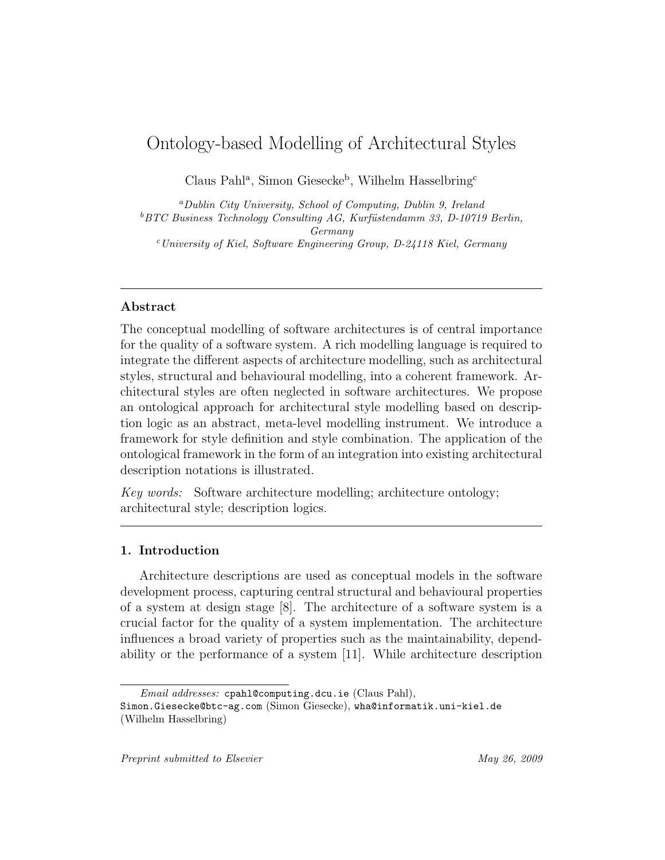# Ontology-based Modelling of Architectural Styles

Claus Pahl<sup>a</sup>, Simon Giesecke<sup>b</sup>, Wilhelm Hasselbring<sup>c</sup>

<sup>a</sup>Dublin City University, School of Computing, Dublin 9, Ireland  $^{b}BTC$  Business Technology Consulting AG, Kurfüstendamm 33, D-10719 Berlin, Germany  $c$ University of Kiel, Software Engineering Group, D-24118 Kiel, Germany

## Abstract

The conceptual modelling of software architectures is of central importance for the quality of a software system. A rich modelling language is required to integrate the different aspects of architecture modelling, such as architectural styles, structural and behavioural modelling, into a coherent framework. Architectural styles are often neglected in software architectures. We propose an ontological approach for architectural style modelling based on description logic as an abstract, meta-level modelling instrument. We introduce a framework for style definition and style combination. The application of the ontological framework in the form of an integration into existing architectural description notations is illustrated.

Key words: Software architecture modelling; architecture ontology; architectural style; description logics.

## 1. Introduction

Architecture descriptions are used as conceptual models in the software development process, capturing central structural and behavioural properties of a system at design stage [8]. The architecture of a software system is a crucial factor for the quality of a system implementation. The architecture influences a broad variety of properties such as the maintainability, dependability or the performance of a system [11]. While architecture description

Email addresses: cpahl@computing.dcu.ie (Claus Pahl),

Simon.Giesecke@btc-ag.com (Simon Giesecke), wha@informatik.uni-kiel.de (Wilhelm Hasselbring)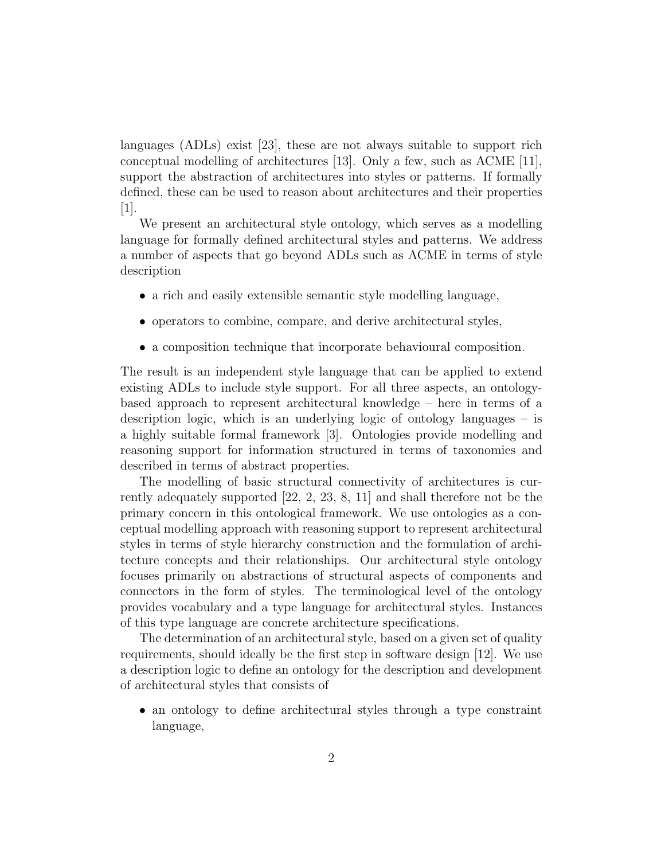languages (ADLs) exist [23], these are not always suitable to support rich conceptual modelling of architectures [13]. Only a few, such as ACME [11], support the abstraction of architectures into styles or patterns. If formally defined, these can be used to reason about architectures and their properties [1].

We present an architectural style ontology, which serves as a modelling language for formally defined architectural styles and patterns. We address a number of aspects that go beyond ADLs such as ACME in terms of style description

- a rich and easily extensible semantic style modelling language,
- operators to combine, compare, and derive architectural styles,
- a composition technique that incorporate behavioural composition.

The result is an independent style language that can be applied to extend existing ADLs to include style support. For all three aspects, an ontologybased approach to represent architectural knowledge – here in terms of a description logic, which is an underlying logic of ontology languages – is a highly suitable formal framework [3]. Ontologies provide modelling and reasoning support for information structured in terms of taxonomies and described in terms of abstract properties.

The modelling of basic structural connectivity of architectures is currently adequately supported [22, 2, 23, 8, 11] and shall therefore not be the primary concern in this ontological framework. We use ontologies as a conceptual modelling approach with reasoning support to represent architectural styles in terms of style hierarchy construction and the formulation of architecture concepts and their relationships. Our architectural style ontology focuses primarily on abstractions of structural aspects of components and connectors in the form of styles. The terminological level of the ontology provides vocabulary and a type language for architectural styles. Instances of this type language are concrete architecture specifications.

The determination of an architectural style, based on a given set of quality requirements, should ideally be the first step in software design [12]. We use a description logic to define an ontology for the description and development of architectural styles that consists of

• an ontology to define architectural styles through a type constraint language,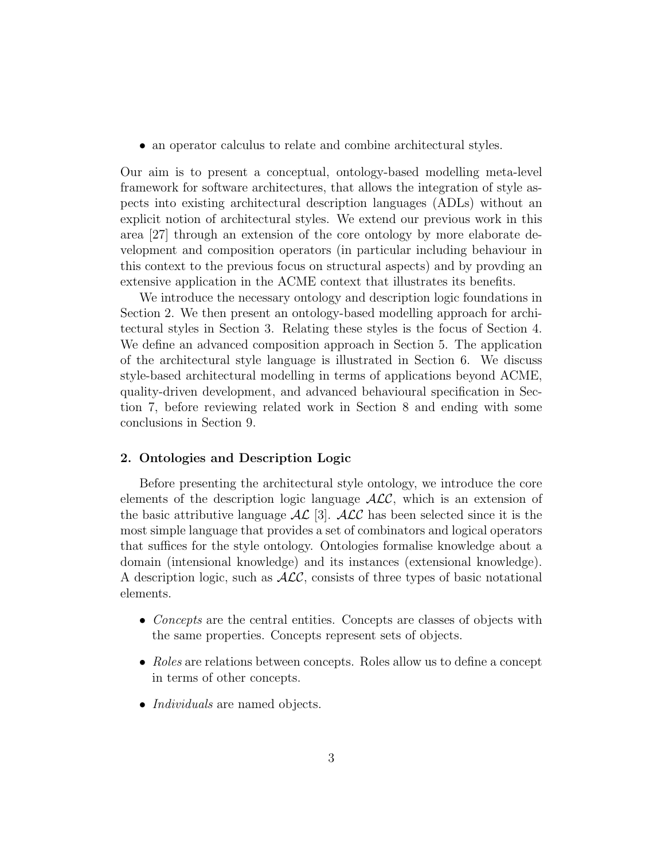• an operator calculus to relate and combine architectural styles.

Our aim is to present a conceptual, ontology-based modelling meta-level framework for software architectures, that allows the integration of style aspects into existing architectural description languages (ADLs) without an explicit notion of architectural styles. We extend our previous work in this area [27] through an extension of the core ontology by more elaborate development and composition operators (in particular including behaviour in this context to the previous focus on structural aspects) and by provding an extensive application in the ACME context that illustrates its benefits.

We introduce the necessary ontology and description logic foundations in Section 2. We then present an ontology-based modelling approach for architectural styles in Section 3. Relating these styles is the focus of Section 4. We define an advanced composition approach in Section 5. The application of the architectural style language is illustrated in Section 6. We discuss style-based architectural modelling in terms of applications beyond ACME, quality-driven development, and advanced behavioural specification in Section 7, before reviewing related work in Section 8 and ending with some conclusions in Section 9.

## 2. Ontologies and Description Logic

Before presenting the architectural style ontology, we introduce the core elements of the description logic language  $\text{AIC}$ , which is an extension of the basic attributive language  $\mathcal{AL}$  [3].  $\mathcal{ALC}$  has been selected since it is the most simple language that provides a set of combinators and logical operators that suffices for the style ontology. Ontologies formalise knowledge about a domain (intensional knowledge) and its instances (extensional knowledge). A description logic, such as  $ALC$ , consists of three types of basic notational elements.

- Concepts are the central entities. Concepts are classes of objects with the same properties. Concepts represent sets of objects.
- Roles are relations between concepts. Roles allow us to define a concept in terms of other concepts.
- *Individuals* are named objects.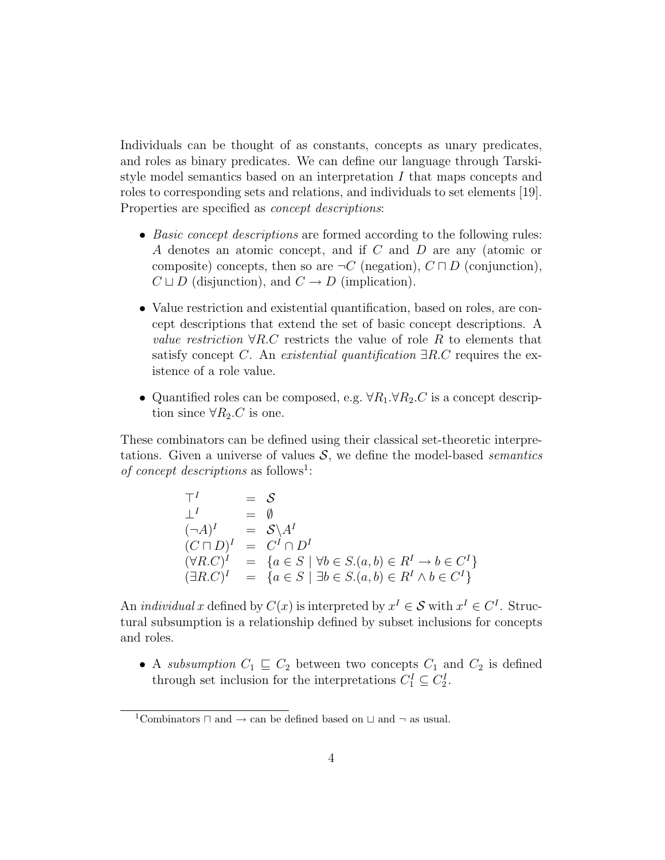Individuals can be thought of as constants, concepts as unary predicates, and roles as binary predicates. We can define our language through Tarskistyle model semantics based on an interpretation I that maps concepts and roles to corresponding sets and relations, and individuals to set elements [19]. Properties are specified as *concept descriptions*:

- Basic concept descriptions are formed according to the following rules: A denotes an atomic concept, and if C and D are any (atomic or composite) concepts, then so are  $\neg C$  (negation),  $C \sqcap D$  (conjunction),  $C \sqcup D$  (disjunction), and  $C \rightarrow D$  (implication).
- Value restriction and existential quantification, based on roles, are concept descriptions that extend the set of basic concept descriptions. A value restriction  $\forall R.C$  restricts the value of role R to elements that satisfy concept C. An existential quantification  $\exists R.C$  requires the existence of a role value.
- Quantified roles can be composed, e.g.  $\forall R_1 \forall R_2 \dots C$  is a concept description since  $\forall R_2.C$  is one.

These combinators can be defined using their classical set-theoretic interpretations. Given a universe of values  $S$ , we define the model-based semantics of concept descriptions as follows<sup>1</sup>:

$$
\begin{array}{rcl}\n\top^I & = & \mathcal{S} \\
\bot^I & = & \emptyset \\
(\neg A)^I & = & \mathcal{S} \setminus A^I \\
(C \sqcap D)^I & = & C^I \cap D^I \\
(\forall R.C)^I & = & \{a \in S \mid \forall b \in S.(a, b) \in R^I \to b \in C^I\} \\
(\exists R.C)^I & = & \{a \in S \mid \exists b \in S.(a, b) \in R^I \land b \in C^I\}\n\end{array}
$$

An *individual* x defined by  $C(x)$  is interpreted by  $x^I \in \mathcal{S}$  with  $x^I \in C^I$ . Structural subsumption is a relationship defined by subset inclusions for concepts and roles.

• A subsumption  $C_1 \subseteq C_2$  between two concepts  $C_1$  and  $C_2$  is defined through set inclusion for the interpretations  $C_1^I \subseteq C_2^I$ .

<sup>&</sup>lt;sup>1</sup>Combinators  $\Box$  and  $\rightarrow$  can be defined based on  $\Box$  and  $\neg$  as usual.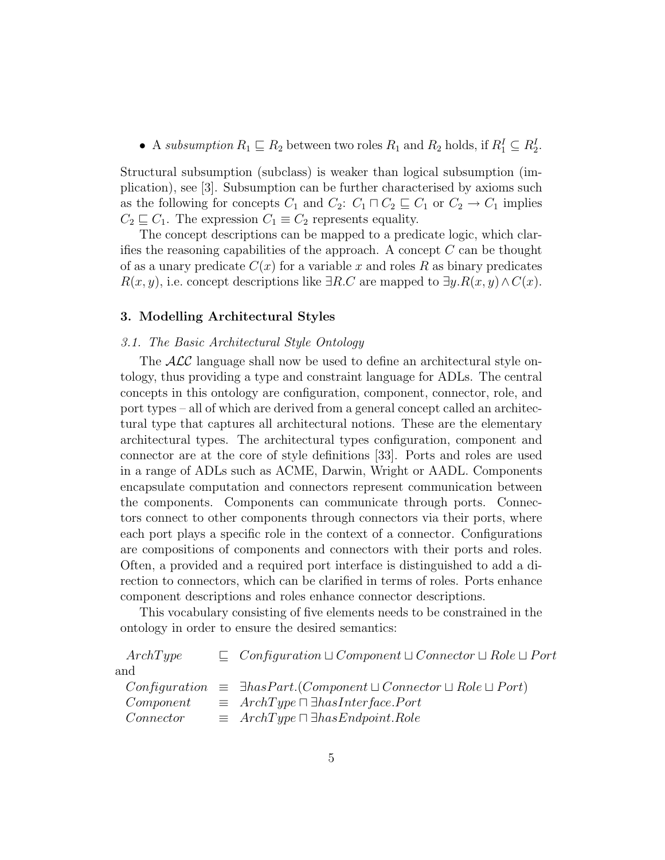• A subsumption  $R_1 \sqsubseteq R_2$  between two roles  $R_1$  and  $R_2$  holds, if  $R_1^I \subseteq R_2^I$ .

Structural subsumption (subclass) is weaker than logical subsumption (implication), see [3]. Subsumption can be further characterised by axioms such as the following for concepts  $C_1$  and  $C_2$ :  $C_1 \sqcap C_2 \sqsubseteq C_1$  or  $C_2 \rightarrow C_1$  implies  $C_2 \sqsubseteq C_1$ . The expression  $C_1 \equiv C_2$  represents equality.

The concept descriptions can be mapped to a predicate logic, which clarifies the reasoning capabilities of the approach. A concept  $C$  can be thought of as a unary predicate  $C(x)$  for a variable x and roles R as binary predicates  $R(x, y)$ , i.e. concept descriptions like  $\exists R.C$  are mapped to  $\exists y.R(x, y) \wedge C(x)$ .

## 3. Modelling Architectural Styles

## 3.1. The Basic Architectural Style Ontology

The  $\cal{ALC}$  language shall now be used to define an architectural style ontology, thus providing a type and constraint language for ADLs. The central concepts in this ontology are configuration, component, connector, role, and port types – all of which are derived from a general concept called an architectural type that captures all architectural notions. These are the elementary architectural types. The architectural types configuration, component and connector are at the core of style definitions [33]. Ports and roles are used in a range of ADLs such as ACME, Darwin, Wright or AADL. Components encapsulate computation and connectors represent communication between the components. Components can communicate through ports. Connectors connect to other components through connectors via their ports, where each port plays a specific role in the context of a connector. Configurations are compositions of components and connectors with their ports and roles. Often, a provided and a required port interface is distinguished to add a direction to connectors, which can be clarified in terms of roles. Ports enhance component descriptions and roles enhance connector descriptions.

This vocabulary consisting of five elements needs to be constrained in the ontology in order to ensure the desired semantics:

| ArchType  | $\Box$ Configuration $\Box$ Component $\Box$ Connector $\Box$ Role $\Box$ Port              |
|-----------|---------------------------------------------------------------------------------------------|
| and       |                                                                                             |
|           | $Configuration \equiv \exists hasPart.(Component \sqcup Connector \sqcup Role \sqcup Port)$ |
| Component | $\equiv$ ArchType $\sqcap \exists hasInterface.Port$                                        |
| Connector | $\equiv$ ArchType $\sqcap \exists hasEndpoint.Role$                                         |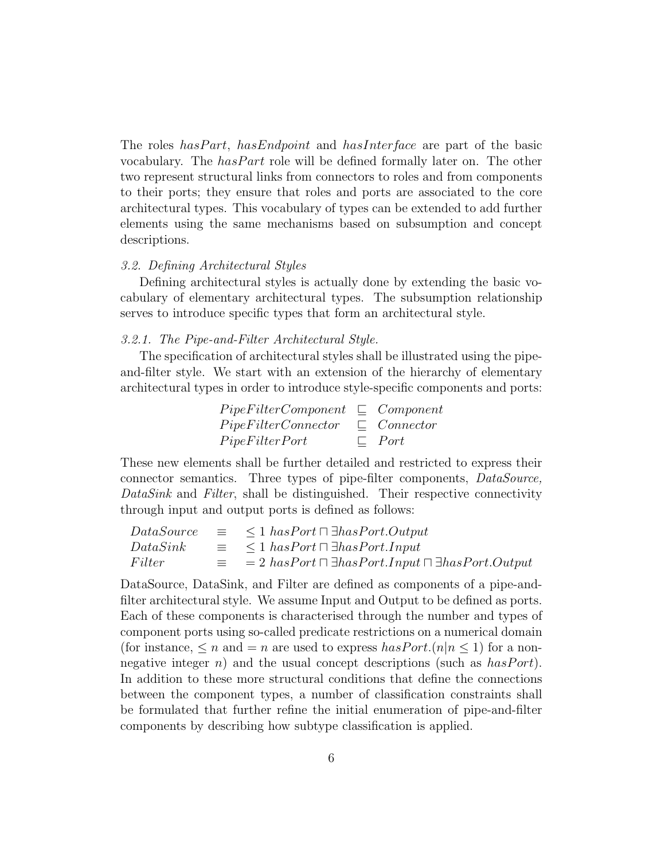The roles has Part, has Endpoint and has Interface are part of the basic vocabulary. The hasPart role will be defined formally later on. The other two represent structural links from connectors to roles and from components to their ports; they ensure that roles and ports are associated to the core architectural types. This vocabulary of types can be extended to add further elements using the same mechanisms based on subsumption and concept descriptions.

## 3.2. Defining Architectural Styles

Defining architectural styles is actually done by extending the basic vocabulary of elementary architectural types. The subsumption relationship serves to introduce specific types that form an architectural style.

## 3.2.1. The Pipe-and-Filter Architectural Style.

The specification of architectural styles shall be illustrated using the pipeand-filter style. We start with an extension of the hierarchy of elementary architectural types in order to introduce style-specific components and ports:

| $PipeFilterComponent \subseteq Component$ |                  |
|-------------------------------------------|------------------|
| PipeFilterConnector                       | $\Box$ Connector |
| PipeFilterPort                            | $\subseteq$ Port |

These new elements shall be further detailed and restricted to express their connector semantics. Three types of pipe-filter components, DataSource, DataSink and Filter, shall be distinguished. Their respective connectivity through input and output ports is defined as follows:

| DataSource |   | $\equiv \langle 1 \rangle$ has Port $\Box$ has Port. Output                    |
|------------|---|--------------------------------------------------------------------------------|
| DataSink   |   | $\equiv \langle 1 \rangle$ has Port $\Box$ has Port. Input                     |
| Filter     | 三 | $= 2 \; has Port \sqcap \exists hasPort. Input \sqcap \exists hasPort. Output$ |

DataSource, DataSink, and Filter are defined as components of a pipe-andfilter architectural style. We assume Input and Output to be defined as ports. Each of these components is characterised through the number and types of component ports using so-called predicate restrictions on a numerical domain (for instance,  $\leq n$  and  $=n$  are used to express  $hasPort.(n|n \leq 1)$  for a nonnegative integer n) and the usual concept descriptions (such as  $hasPort$ ). In addition to these more structural conditions that define the connections between the component types, a number of classification constraints shall be formulated that further refine the initial enumeration of pipe-and-filter components by describing how subtype classification is applied.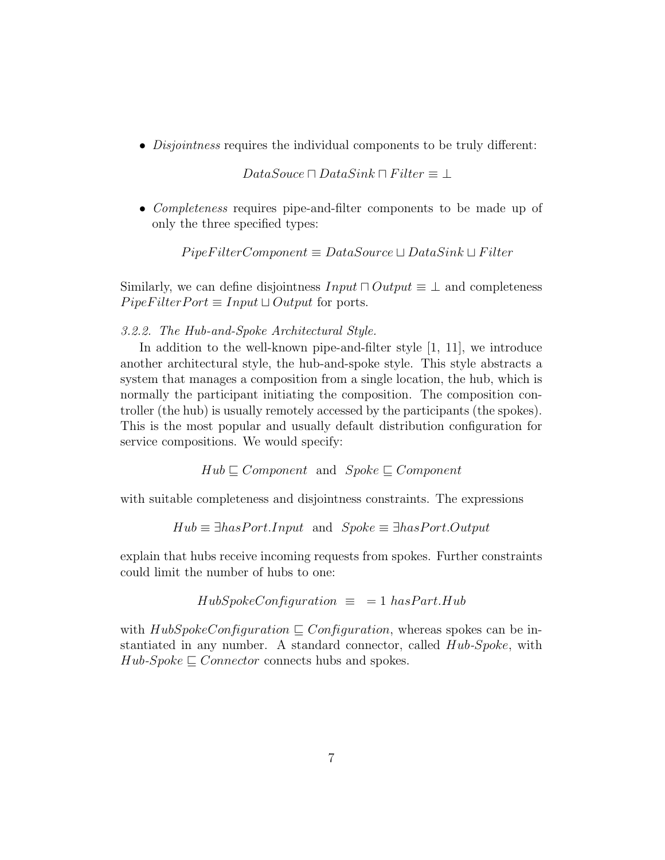• *Disjointness* requires the individual components to be truly different:

 $DataSource \sqcap DataSink \sqcap Filter \equiv \bot$ 

• *Completeness* requires pipe-and-filter components to be made up of only the three specified types:

 $PipeFilterComponent \equiv DataSource \sqcup DataSink \sqcup Filter$ 

Similarly, we can define disjointness  $Input \sqcap Output \equiv \bot$  and completeness  $PipeFilterPort \equiv Input \sqcup Output$  for ports.

3.2.2. The Hub-and-Spoke Architectural Style.

In addition to the well-known pipe-and-filter style [1, 11], we introduce another architectural style, the hub-and-spoke style. This style abstracts a system that manages a composition from a single location, the hub, which is normally the participant initiating the composition. The composition controller (the hub) is usually remotely accessed by the participants (the spokes). This is the most popular and usually default distribution configuration for service compositions. We would specify:

 $Hub \sqsubseteq Component$  and  $Spoke \sqsubseteq Component$ 

with suitable completeness and disjointness constraints. The expressions

 $Hub \equiv \exists hasPort. Input$  and  $Spoke \equiv \exists hasPort. Output$ 

explain that hubs receive incoming requests from spokes. Further constraints could limit the number of hubs to one:

$$
HubS pole Configuration \equiv = 1 \, has Part. Hub
$$

with  $HubSpokeConfiguration \subseteq Configuration$ , whereas spokes can be instantiated in any number. A standard connector, called Hub-Spoke, with  $Hub-Spole \sqsubseteq Connector$  connects hubs and spokes.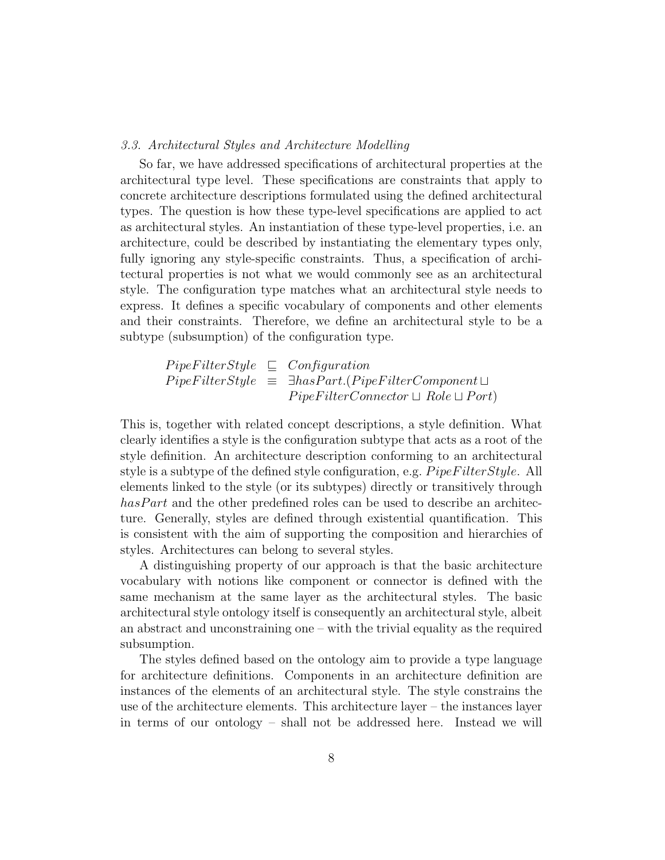#### 3.3. Architectural Styles and Architecture Modelling

So far, we have addressed specifications of architectural properties at the architectural type level. These specifications are constraints that apply to concrete architecture descriptions formulated using the defined architectural types. The question is how these type-level specifications are applied to act as architectural styles. An instantiation of these type-level properties, i.e. an architecture, could be described by instantiating the elementary types only, fully ignoring any style-specific constraints. Thus, a specification of architectural properties is not what we would commonly see as an architectural style. The configuration type matches what an architectural style needs to express. It defines a specific vocabulary of components and other elements and their constraints. Therefore, we define an architectural style to be a subtype (subsumption) of the configuration type.

> $PipeFilterStyle \subseteq Configuration$  $PipeFilterStyle \equiv \exists hasPart.(PipeFilterComponent \sqcup$  $PipeFilterConnector \sqcup Role \sqcup Port)$

This is, together with related concept descriptions, a style definition. What clearly identifies a style is the configuration subtype that acts as a root of the style definition. An architecture description conforming to an architectural style is a subtype of the defined style configuration, e.g.  $PipeFilterStyle$ . All elements linked to the style (or its subtypes) directly or transitively through has Part and the other predefined roles can be used to describe an architecture. Generally, styles are defined through existential quantification. This is consistent with the aim of supporting the composition and hierarchies of styles. Architectures can belong to several styles.

A distinguishing property of our approach is that the basic architecture vocabulary with notions like component or connector is defined with the same mechanism at the same layer as the architectural styles. The basic architectural style ontology itself is consequently an architectural style, albeit an abstract and unconstraining one – with the trivial equality as the required subsumption.

The styles defined based on the ontology aim to provide a type language for architecture definitions. Components in an architecture definition are instances of the elements of an architectural style. The style constrains the use of the architecture elements. This architecture layer – the instances layer in terms of our ontology – shall not be addressed here. Instead we will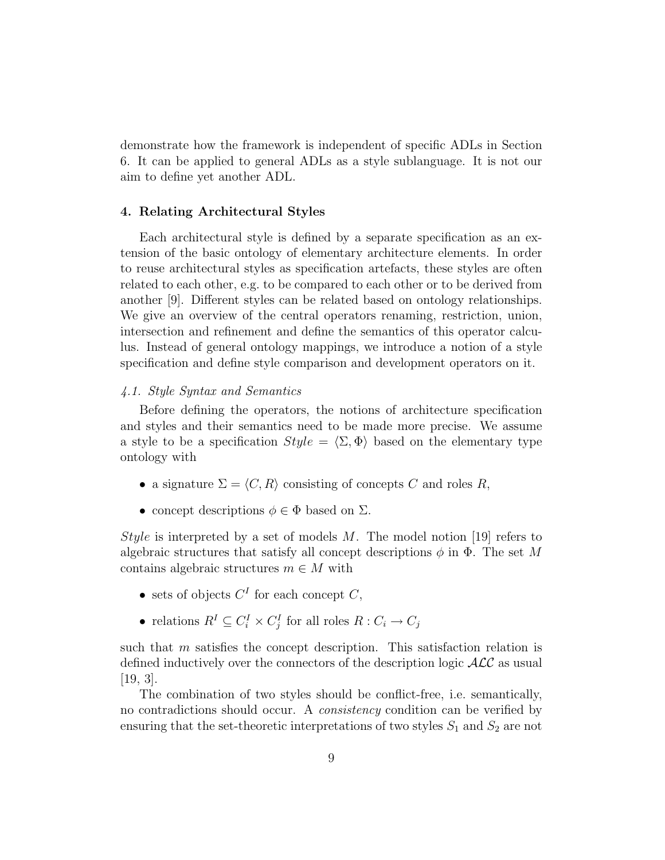demonstrate how the framework is independent of specific ADLs in Section 6. It can be applied to general ADLs as a style sublanguage. It is not our aim to define yet another ADL.

#### 4. Relating Architectural Styles

Each architectural style is defined by a separate specification as an extension of the basic ontology of elementary architecture elements. In order to reuse architectural styles as specification artefacts, these styles are often related to each other, e.g. to be compared to each other or to be derived from another [9]. Different styles can be related based on ontology relationships. We give an overview of the central operators renaming, restriction, union, intersection and refinement and define the semantics of this operator calculus. Instead of general ontology mappings, we introduce a notion of a style specification and define style comparison and development operators on it.

#### 4.1. Style Syntax and Semantics

Before defining the operators, the notions of architecture specification and styles and their semantics need to be made more precise. We assume a style to be a specification  $Style = \langle \Sigma, \Phi \rangle$  based on the elementary type ontology with

- a signature  $\Sigma = \langle C, R \rangle$  consisting of concepts C and roles R,
- concept descriptions  $\phi \in \Phi$  based on  $\Sigma$ .

Style is interpreted by a set of models  $M$ . The model notion [19] refers to algebraic structures that satisfy all concept descriptions  $\phi$  in  $\Phi$ . The set M contains algebraic structures  $m \in M$  with

- sets of objects  $C<sup>I</sup>$  for each concept  $C$ ,
- relations  $R^I \subseteq C_i^I \times C_j^I$  for all roles  $R: C_i \to C_j$

such that m satisfies the concept description. This satisfaction relation is defined inductively over the connectors of the description logic  $\mathcal{ALC}$  as usual [19, 3].

The combination of two styles should be conflict-free, i.e. semantically, no contradictions should occur. A consistency condition can be verified by ensuring that the set-theoretic interpretations of two styles  ${\cal S}_1$  and  ${\cal S}_2$  are not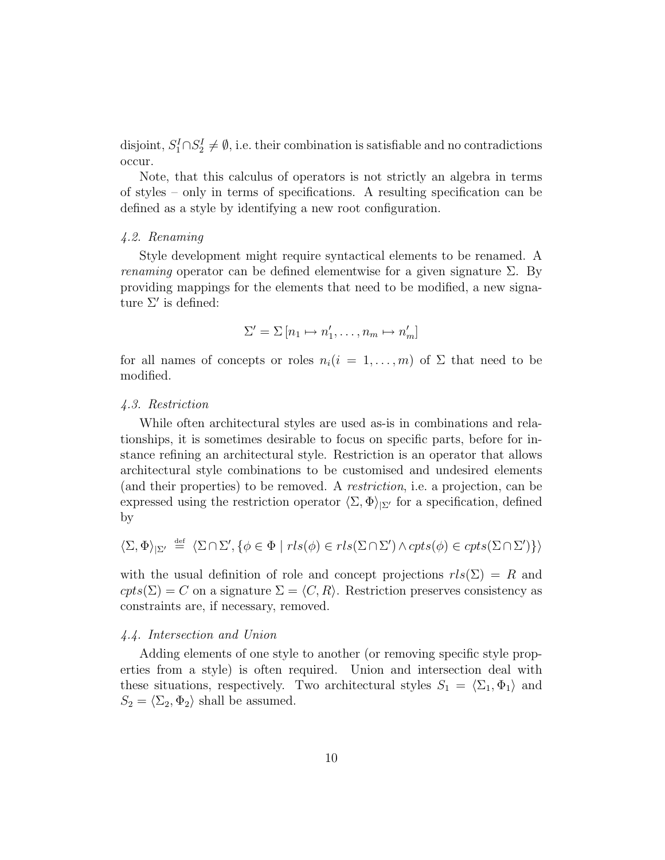disjoint,  $S_1^I \cap S_2^I \neq \emptyset$ , i.e. their combination is satisfiable and no contradictions occur.

Note, that this calculus of operators is not strictly an algebra in terms of styles – only in terms of specifications. A resulting specification can be defined as a style by identifying a new root configuration.

#### 4.2. Renaming

Style development might require syntactical elements to be renamed. A *renaming* operator can be defined elementwise for a given signature  $\Sigma$ . By providing mappings for the elements that need to be modified, a new signature  $\Sigma'$  is defined:

$$
\Sigma' = \Sigma [n_1 \mapsto n'_1, \dots, n_m \mapsto n'_m]
$$

for all names of concepts or roles  $n_i(i = 1, \ldots, m)$  of  $\Sigma$  that need to be modified.

#### 4.3. Restriction

While often architectural styles are used as-is in combinations and relationships, it is sometimes desirable to focus on specific parts, before for instance refining an architectural style. Restriction is an operator that allows architectural style combinations to be customised and undesired elements (and their properties) to be removed. A restriction, i.e. a projection, can be expressed using the restriction operator  $\langle \Sigma, \Phi \rangle_{\Sigma'}$  for a specification, defined by

$$
\langle \Sigma, \Phi \rangle_{|\Sigma'} \stackrel{\text{def}}{=} \langle \Sigma \cap \Sigma', \{ \phi \in \Phi \mid rls(\phi) \in rls(\Sigma \cap \Sigma') \land crps(\phi) \in crps(\Sigma \cap \Sigma') \} \rangle
$$

with the usual definition of role and concept projections  $rls(\Sigma) = R$  and  $crts(\Sigma) = C$  on a signature  $\Sigma = \langle C, R \rangle$ . Restriction preserves consistency as constraints are, if necessary, removed.

#### 4.4. Intersection and Union

Adding elements of one style to another (or removing specific style properties from a style) is often required. Union and intersection deal with these situations, respectively. Two architectural styles  $S_1 = \langle \Sigma_1, \Phi_1 \rangle$  and  $S_2 = \langle \Sigma_2, \Phi_2 \rangle$  shall be assumed.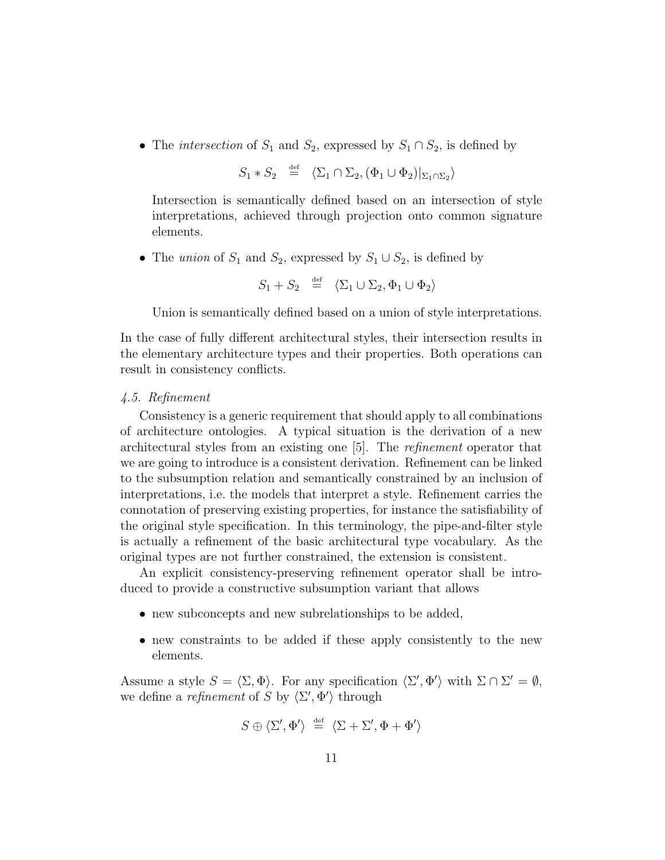• The *intersection* of  $S_1$  and  $S_2$ , expressed by  $S_1 \cap S_2$ , is defined by

 $S_1 * S_2 \stackrel{\text{def}}{=} \langle \Sigma_1 \cap \Sigma_2, (\Phi_1 \cup \Phi_2)|_{\Sigma_1 \cap \Sigma_2} \rangle$ 

Intersection is semantically defined based on an intersection of style interpretations, achieved through projection onto common signature elements.

• The union of  $S_1$  and  $S_2$ , expressed by  $S_1 \cup S_2$ , is defined by

$$
S_1 + S_2 \stackrel{\text{def}}{=} \langle \Sigma_1 \cup \Sigma_2, \Phi_1 \cup \Phi_2 \rangle
$$

Union is semantically defined based on a union of style interpretations.

In the case of fully different architectural styles, their intersection results in the elementary architecture types and their properties. Both operations can result in consistency conflicts.

#### 4.5. Refinement

Consistency is a generic requirement that should apply to all combinations of architecture ontologies. A typical situation is the derivation of a new architectural styles from an existing one [5]. The refinement operator that we are going to introduce is a consistent derivation. Refinement can be linked to the subsumption relation and semantically constrained by an inclusion of interpretations, i.e. the models that interpret a style. Refinement carries the connotation of preserving existing properties, for instance the satisfiability of the original style specification. In this terminology, the pipe-and-filter style is actually a refinement of the basic architectural type vocabulary. As the original types are not further constrained, the extension is consistent.

An explicit consistency-preserving refinement operator shall be introduced to provide a constructive subsumption variant that allows

- new subconcepts and new subrelationships to be added,
- new constraints to be added if these apply consistently to the new elements.

Assume a style  $S = \langle \Sigma, \Phi \rangle$ . For any specification  $\langle \Sigma', \Phi' \rangle$  with  $\Sigma \cap \Sigma' = \emptyset$ , we define a *refinement* of S by  $\langle \Sigma', \Phi' \rangle$  through

$$
S \oplus \langle \Sigma', \Phi' \rangle \stackrel{\text{def}}{=} \langle \Sigma + \Sigma', \Phi + \Phi' \rangle
$$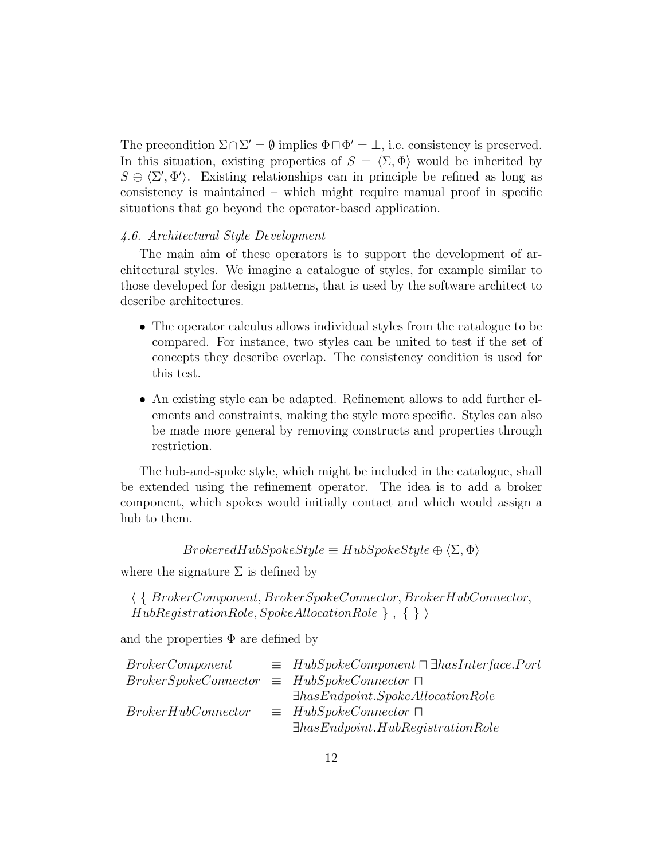The precondition  $\Sigma \cap \Sigma' = \emptyset$  implies  $\Phi \cap \Phi' = \bot$ , i.e. consistency is preserved. In this situation, existing properties of  $S = \langle \Sigma, \Phi \rangle$  would be inherited by  $S \oplus \langle \Sigma', \Phi' \rangle$ . Existing relationships can in principle be refined as long as consistency is maintained – which might require manual proof in specific situations that go beyond the operator-based application.

## 4.6. Architectural Style Development

The main aim of these operators is to support the development of architectural styles. We imagine a catalogue of styles, for example similar to those developed for design patterns, that is used by the software architect to describe architectures.

- The operator calculus allows individual styles from the catalogue to be compared. For instance, two styles can be united to test if the set of concepts they describe overlap. The consistency condition is used for this test.
- An existing style can be adapted. Refinement allows to add further elements and constraints, making the style more specific. Styles can also be made more general by removing constructs and properties through restriction.

The hub-and-spoke style, which might be included in the catalogue, shall be extended using the refinement operator. The idea is to add a broker component, which spokes would initially contact and which would assign a hub to them.

 $BrokeredHubSpokeStyle \equiv HubSpokeStyle \oplus \langle \Sigma, \Phi \rangle$ 

where the signature  $\Sigma$  is defined by

 $\langle \}$  BrokerComponent, BrokerSpokeConnector, BrokerHubConnector,  $HubRegionRole, SpokeAllocationRole \}$ ,  $\{\}\$ 

and the properties  $\Phi$  are defined by

| <i>BrokerComponent</i>                                 | $\equiv HubSpokeComponent \sqcap \exists hasInterface.Port$ |
|--------------------------------------------------------|-------------------------------------------------------------|
| $BrokerSpokeConnector \equiv HubSpokeConnector \sqcap$ |                                                             |
|                                                        | $\exists has Endpoint. SpokeAllocation Role$                |
| Broker HubConnector                                    | $\equiv$ HubSpokeConnector $\Box$                           |
|                                                        | $\exists has Endpoint. Hub Region transition Role$          |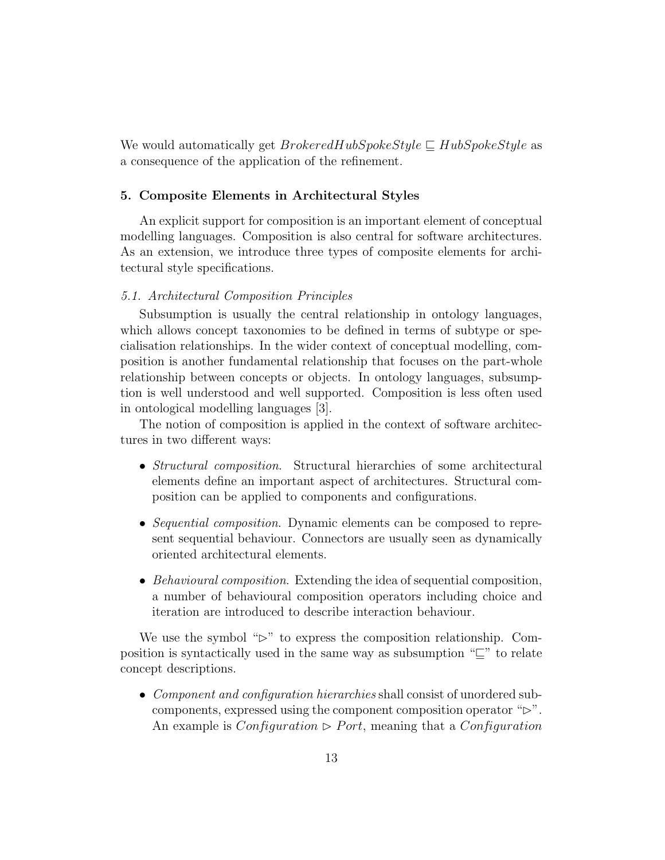We would automatically get  $BrokeStyle \subseteq HubSpokeStyle$  as a consequence of the application of the refinement.

### 5. Composite Elements in Architectural Styles

An explicit support for composition is an important element of conceptual modelling languages. Composition is also central for software architectures. As an extension, we introduce three types of composite elements for architectural style specifications.

#### 5.1. Architectural Composition Principles

Subsumption is usually the central relationship in ontology languages, which allows concept taxonomies to be defined in terms of subtype or specialisation relationships. In the wider context of conceptual modelling, composition is another fundamental relationship that focuses on the part-whole relationship between concepts or objects. In ontology languages, subsumption is well understood and well supported. Composition is less often used in ontological modelling languages [3].

The notion of composition is applied in the context of software architectures in two different ways:

- Structural composition. Structural hierarchies of some architectural elements define an important aspect of architectures. Structural composition can be applied to components and configurations.
- Sequential composition. Dynamic elements can be composed to represent sequential behaviour. Connectors are usually seen as dynamically oriented architectural elements.
- Behavioural composition. Extending the idea of sequential composition, a number of behavioural composition operators including choice and iteration are introduced to describe interaction behaviour.

We use the symbol " $\triangleright$ " to express the composition relationship. Composition is syntactically used in the same way as subsumption " $\subseteq$ " to relate concept descriptions.

• Component and configuration hierarchies shall consist of unordered subcomponents, expressed using the component composition operator " $\triangleright$ ". An example is *Configuration*  $\triangleright$  *Port*, meaning that a *Configuration*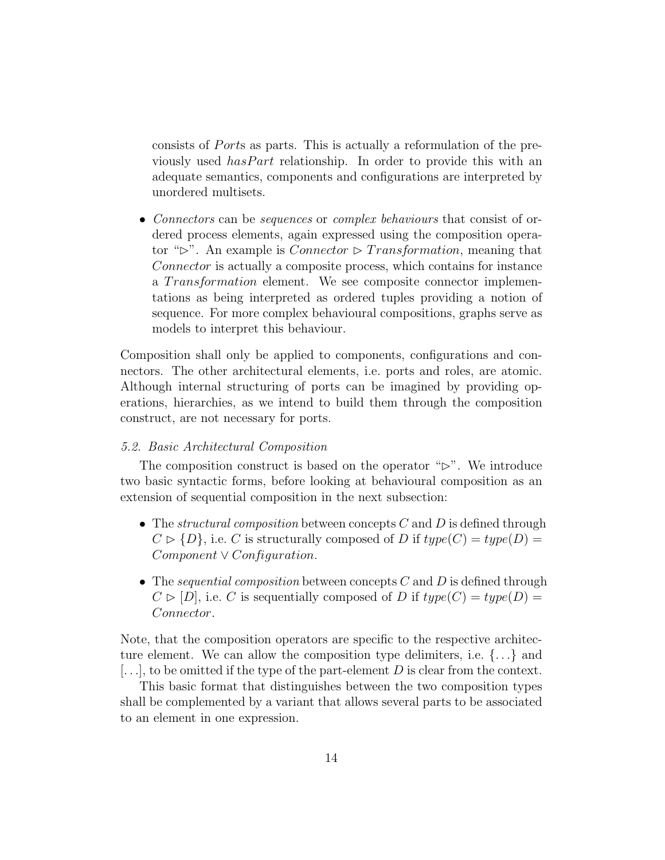consists of *Ports* as parts. This is actually a reformulation of the previously used *hasPart* relationship. In order to provide this with an adequate semantics, components and configurations are interpreted by unordered multisets.

• Connectors can be *sequences* or *complex behaviours* that consist of ordered process elements, again expressed using the composition operator " $\triangleright$ ". An example is *Connector*  $\triangleright$  *Transformation*, meaning that Connector is actually a composite process, which contains for instance a *Transformation* element. We see composite connector implementations as being interpreted as ordered tuples providing a notion of sequence. For more complex behavioural compositions, graphs serve as models to interpret this behaviour.

Composition shall only be applied to components, configurations and connectors. The other architectural elements, i.e. ports and roles, are atomic. Although internal structuring of ports can be imagined by providing operations, hierarchies, as we intend to build them through the composition construct, are not necessary for ports.

#### 5.2. Basic Architectural Composition

The composition construct is based on the operator " $\triangleright$ ". We introduce two basic syntactic forms, before looking at behavioural composition as an extension of sequential composition in the next subsection:

- The *structural composition* between concepts C and D is defined through  $C \triangleright \{D\}$ , i.e. C is structurally composed of D if  $type(C) = type(D)$  $Component \vee Configuration$ .
- The sequential composition between concepts  $C$  and  $D$  is defined through  $C \triangleright [D]$ , i.e. C is sequentially composed of D if  $type(C) = type(D)$ Connector.

Note, that the composition operators are specific to the respective architecture element. We can allow the composition type delimiters, i.e.  $\{ \ldots \}$  and  $[\ldots]$ , to be omitted if the type of the part-element D is clear from the context.

This basic format that distinguishes between the two composition types shall be complemented by a variant that allows several parts to be associated to an element in one expression.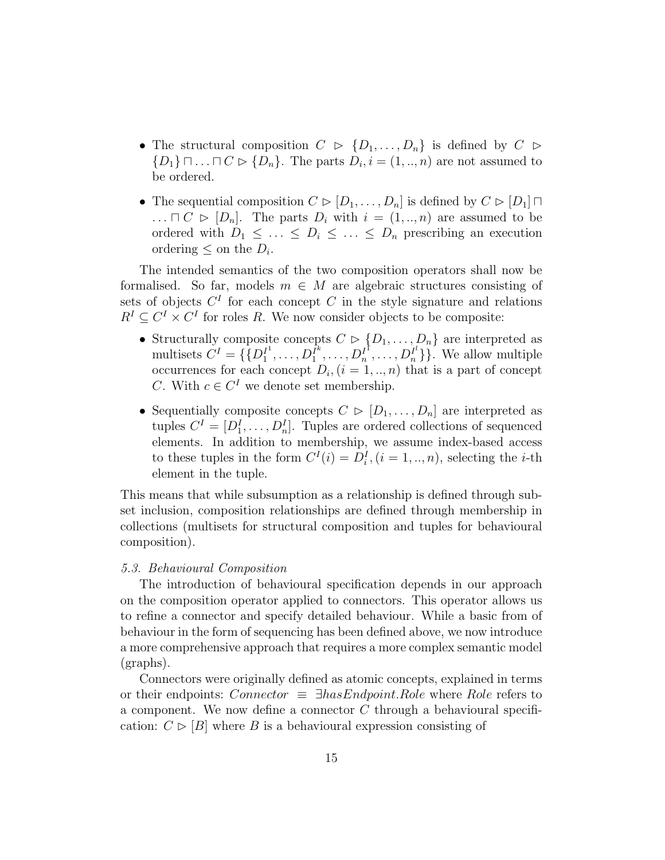- The structural composition  $C \supset \{D_1, \ldots, D_n\}$  is defined by  $C \supset$  $\{D_1\} \sqcap \ldots \sqcap C \rhd \{D_n\}.$  The parts  $D_i, i = (1, ..., n)$  are not assumed to be ordered.
- The sequential composition  $C \triangleright [D_1, \ldots, D_n]$  is defined by  $C \triangleright [D_1] \sqcap$  $\ldots \sqcap C \supset [D_n]$ . The parts  $D_i$  with  $i = (1, ..., n)$  are assumed to be ordered with  $D_1 \leq \ldots \leq D_i \leq \ldots \leq D_n$  prescribing an execution ordering  $\leq$  on the  $D_i$ .

The intended semantics of the two composition operators shall now be formalised. So far, models  $m \in M$  are algebraic structures consisting of sets of objects  $C<sup>I</sup>$  for each concept C in the style signature and relations  $R^I \subseteq C^I \times C^I$  for roles R. We now consider objects to be composite:

- Structurally composite concepts  $C \triangleright \{D_1, \ldots, D_n\}$  are interpreted as multisets  $C^I = \{ \{D_1^{I^1}\}$  $I_1^{I^1}, \ldots, D_1^{I^k}$  $I^k_1,\ldots,D^{I^1}_n$  $\{I_n^I, \ldots, D_n^{I^l}\}\}\.$  We allow multiple occurrences for each concept  $D_i$ ,  $(i = 1, ..., n)$  that is a part of concept C. With  $c \in C^I$  we denote set membership.
- Sequentially composite concepts  $C \triangleright [D_1, \ldots, D_n]$  are interpreted as tuples  $C^I = [D_1^I, \ldots, D_n^I]$ . Tuples are ordered collections of sequenced elements. In addition to membership, we assume index-based access to these tuples in the form  $C^{I}(i) = D_i^{I}$ ,  $(i = 1, ..., n)$ , selecting the *i*-th element in the tuple.

This means that while subsumption as a relationship is defined through subset inclusion, composition relationships are defined through membership in collections (multisets for structural composition and tuples for behavioural composition).

#### 5.3. Behavioural Composition

The introduction of behavioural specification depends in our approach on the composition operator applied to connectors. This operator allows us to refine a connector and specify detailed behaviour. While a basic from of behaviour in the form of sequencing has been defined above, we now introduce a more comprehensive approach that requires a more complex semantic model (graphs).

Connectors were originally defined as atomic concepts, explained in terms or their endpoints: *Connector*  $\equiv \exists has Endpoint. Role$  where Role refers to a component. We now define a connector  $C$  through a behavioural specification:  $C \triangleright [B]$  where B is a behavioural expression consisting of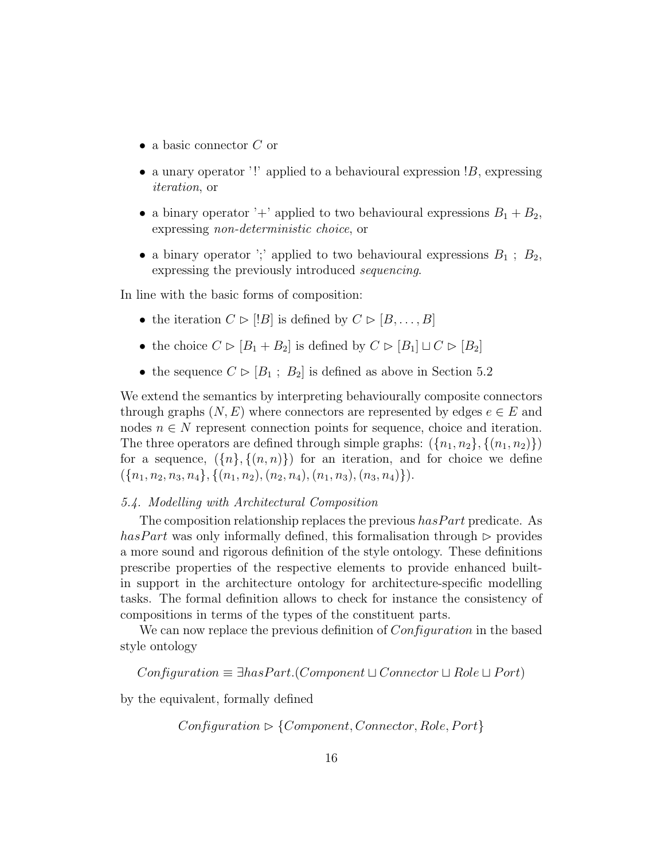- a basic connector  $C$  or
- a unary operator '!' applied to a behavioural expression  $B$ , expressing iteration, or
- a binary operator '+' applied to two behavioural expressions  $B_1 + B_2$ , expressing non-deterministic choice, or
- a binary operator ';' applied to two behavioural expressions  $B_1$ ;  $B_2$ , expressing the previously introduced sequencing.

In line with the basic forms of composition:

- the iteration  $C \triangleright [B]$  is defined by  $C \triangleright [B, \ldots, B]$
- the choice  $C \rhd [B_1 + B_2]$  is defined by  $C \rhd [B_1] \sqcup C \rhd [B_2]$
- the sequence  $C \triangleright [B_1 ; B_2]$  is defined as above in Section 5.2

We extend the semantics by interpreting behaviourally composite connectors through graphs  $(N, E)$  where connectors are represented by edges  $e \in E$  and nodes  $n \in N$  represent connection points for sequence, choice and iteration. The three operators are defined through simple graphs:  $({n_1, n_2}, {n_1, n_2})$ for a sequence,  $({n}, ({n}, n))$  for an iteration, and for choice we define  $({n_1, n_2, n_3, n_4}, {n_1, n_2}, (n_2, n_4), (n_1, n_3), (n_3, n_4)).$ 

## 5.4. Modelling with Architectural Composition

The composition relationship replaces the previous  $hasPart$  predicate. As has Part was only informally defined, this formalisation through  $\triangleright$  provides a more sound and rigorous definition of the style ontology. These definitions prescribe properties of the respective elements to provide enhanced builtin support in the architecture ontology for architecture-specific modelling tasks. The formal definition allows to check for instance the consistency of compositions in terms of the types of the constituent parts.

We can now replace the previous definition of *Configuration* in the based style ontology

 $Configuration \equiv \exists hasPart.(Component \sqcup Connector \sqcup Role \sqcup Port)$ 

by the equivalent, formally defined

 $Configuration \triangleright \{Component, Connector, Role, Port\}$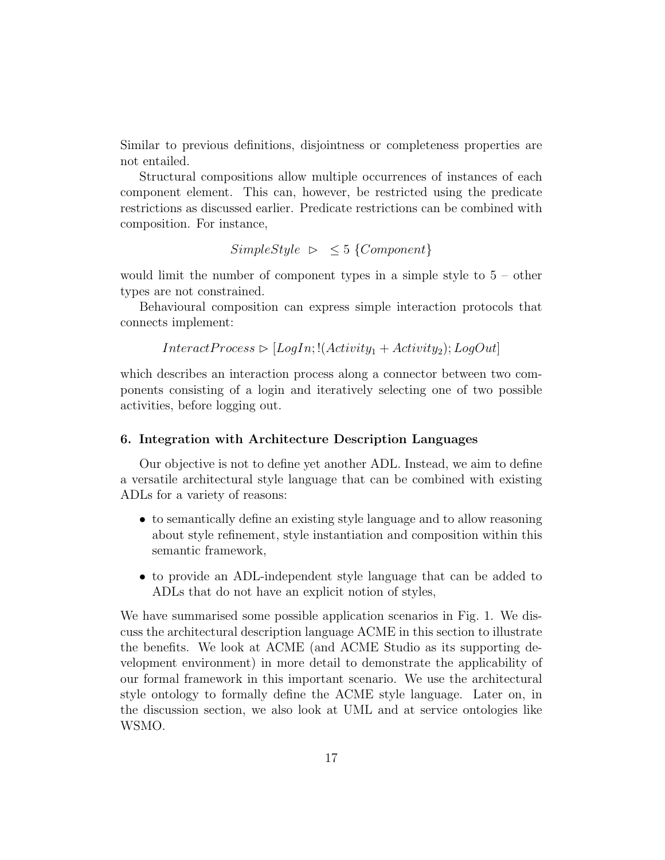Similar to previous definitions, disjointness or completeness properties are not entailed.

Structural compositions allow multiple occurrences of instances of each component element. This can, however, be restricted using the predicate restrictions as discussed earlier. Predicate restrictions can be combined with composition. For instance,

$$
SimpleStyle \geq 5 \{Component\}
$$

would limit the number of component types in a simple style to  $5$  – other types are not constrained.

Behavioural composition can express simple interaction protocols that connects implement:

$$
InteractProcess \triangleright [LogIn;!(Activity1 + Activity2); LogOut]
$$

which describes an interaction process along a connector between two components consisting of a login and iteratively selecting one of two possible activities, before logging out.

## 6. Integration with Architecture Description Languages

Our objective is not to define yet another ADL. Instead, we aim to define a versatile architectural style language that can be combined with existing ADLs for a variety of reasons:

- to semantically define an existing style language and to allow reasoning about style refinement, style instantiation and composition within this semantic framework,
- to provide an ADL-independent style language that can be added to ADLs that do not have an explicit notion of styles,

We have summarised some possible application scenarios in Fig. 1. We discuss the architectural description language ACME in this section to illustrate the benefits. We look at ACME (and ACME Studio as its supporting development environment) in more detail to demonstrate the applicability of our formal framework in this important scenario. We use the architectural style ontology to formally define the ACME style language. Later on, in the discussion section, we also look at UML and at service ontologies like WSMO.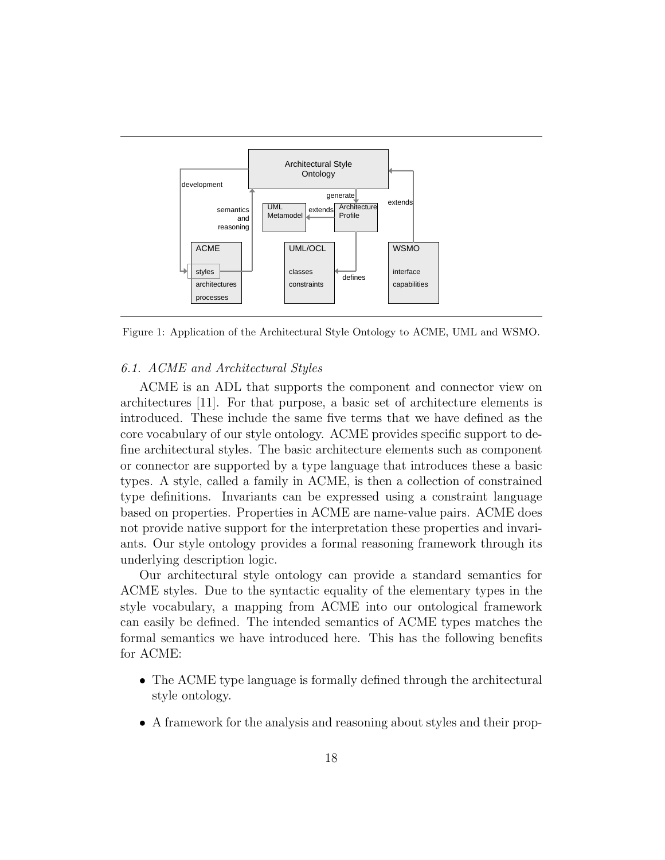

Figure 1: Application of the Architectural Style Ontology to ACME, UML and WSMO.

## 6.1. ACME and Architectural Styles

ACME is an ADL that supports the component and connector view on architectures [11]. For that purpose, a basic set of architecture elements is introduced. These include the same five terms that we have defined as the core vocabulary of our style ontology. ACME provides specific support to define architectural styles. The basic architecture elements such as component or connector are supported by a type language that introduces these a basic types. A style, called a family in ACME, is then a collection of constrained type definitions. Invariants can be expressed using a constraint language based on properties. Properties in ACME are name-value pairs. ACME does not provide native support for the interpretation these properties and invariants. Our style ontology provides a formal reasoning framework through its underlying description logic.

Our architectural style ontology can provide a standard semantics for ACME styles. Due to the syntactic equality of the elementary types in the style vocabulary, a mapping from ACME into our ontological framework can easily be defined. The intended semantics of ACME types matches the formal semantics we have introduced here. This has the following benefits for ACME:

- The ACME type language is formally defined through the architectural style ontology.
- A framework for the analysis and reasoning about styles and their prop-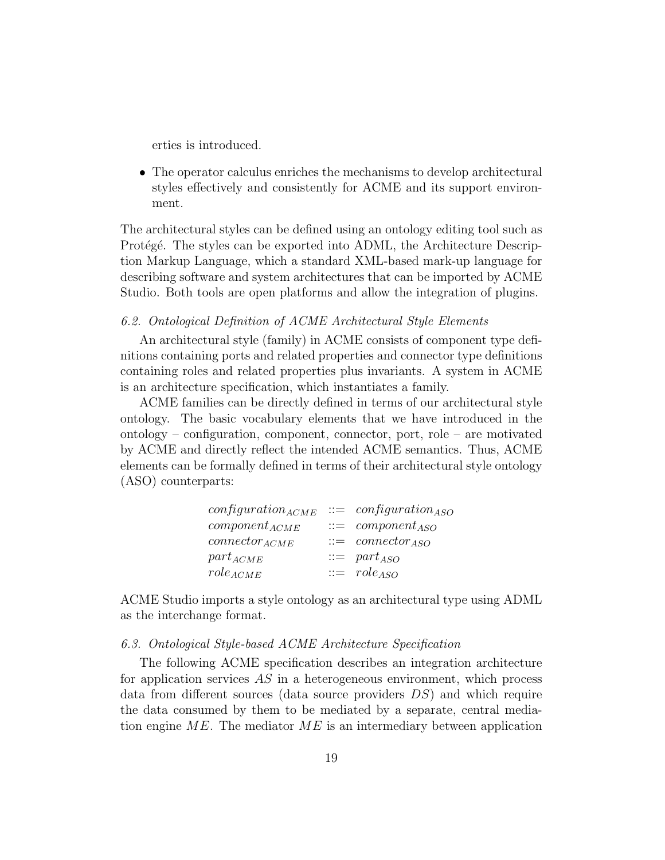erties is introduced.

• The operator calculus enriches the mechanisms to develop architectural styles effectively and consistently for ACME and its support environment.

The architectural styles can be defined using an ontology editing tool such as Protégé. The styles can be exported into ADML, the Architecture Description Markup Language, which a standard XML-based mark-up language for describing software and system architectures that can be imported by ACME Studio. Both tools are open platforms and allow the integration of plugins.

## 6.2. Ontological Definition of ACME Architectural Style Elements

An architectural style (family) in ACME consists of component type definitions containing ports and related properties and connector type definitions containing roles and related properties plus invariants. A system in ACME is an architecture specification, which instantiates a family.

ACME families can be directly defined in terms of our architectural style ontology. The basic vocabulary elements that we have introduced in the ontology – configuration, component, connector, port, role – are motivated by ACME and directly reflect the intended ACME semantics. Thus, ACME elements can be formally defined in terms of their architectural style ontology (ASO) counterparts:

| $configuration_{ACME}$ | $\therefore$ configuration <sub>ASO</sub> |
|------------------------|-------------------------------------------|
| $component_{ACME}$     | $\cdots = \text{component}_{ASO}$         |
| $connector_{ACME}$     | $\therefore$ connector <sub>ASO</sub>     |
| $part_{ACME}$          | $\mathrel{::=}$ part <sub>ASO</sub>       |
| $role_{ACME}$          | $\therefore$ $role_{ASO}$                 |

ACME Studio imports a style ontology as an architectural type using ADML as the interchange format.

### 6.3. Ontological Style-based ACME Architecture Specification

The following ACME specification describes an integration architecture for application services  $AS$  in a heterogeneous environment, which process data from different sources (data source providers DS) and which require the data consumed by them to be mediated by a separate, central mediation engine  $ME$ . The mediator  $ME$  is an intermediary between application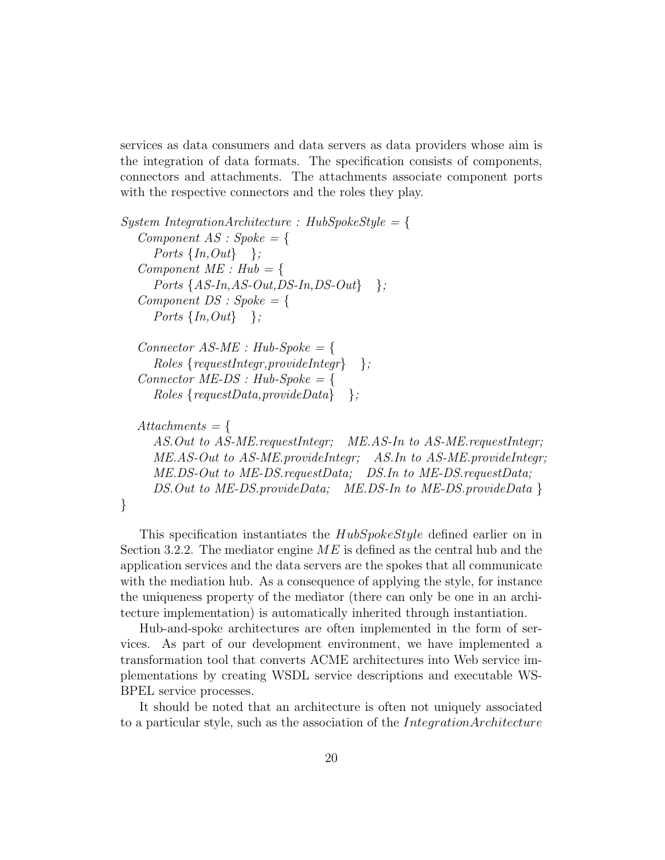services as data consumers and data servers as data providers whose aim is the integration of data formats. The specification consists of components, connectors and attachments. The attachments associate component ports with the respective connectors and the roles they play.

 $System Integration Architecture : HubSpokeStyle = \{$  $Component AS: Spoke = \{$ Ports  $\{In, Out\}$  }; Component  $ME : Hub = \{$ Ports  $\{AS\text{-}In, AS\text{-}Out, DS\text{-}In, DS\text{-}Out\}$  }; Component  $DS : Spoke = \{$ Ports  $\{In, Out\}$  };

 $Connector AS-ME : Hub-Spole = \{$  $Roles \{requestInteger, provideInteger\}$ ;  $Connector ME-DS : Hub-Spole = \{$  $Roles$  {requestData,provideData} };

## Attachments  $=$  {

}

AS. Out to AS-ME. requestIntegr; ME.AS-In to AS-ME. requestIntegr; ME.AS-Out to AS-ME.provideIntegr; AS.In to AS-ME.provideIntegr; ME.DS-Out to ME-DS.requestData; DS.In to ME-DS.requestData; DS. Out to ME-DS.provideData; ME.DS-In to ME-DS.provideData }

This specification instantiates the  $HubSpokeStyle$  defined earlier on in Section 3.2.2. The mediator engine  $ME$  is defined as the central hub and the application services and the data servers are the spokes that all communicate with the mediation hub. As a consequence of applying the style, for instance the uniqueness property of the mediator (there can only be one in an architecture implementation) is automatically inherited through instantiation.

Hub-and-spoke architectures are often implemented in the form of services. As part of our development environment, we have implemented a transformation tool that converts ACME architectures into Web service implementations by creating WSDL service descriptions and executable WS-BPEL service processes.

It should be noted that an architecture is often not uniquely associated to a particular style, such as the association of the IntegrationArchitecture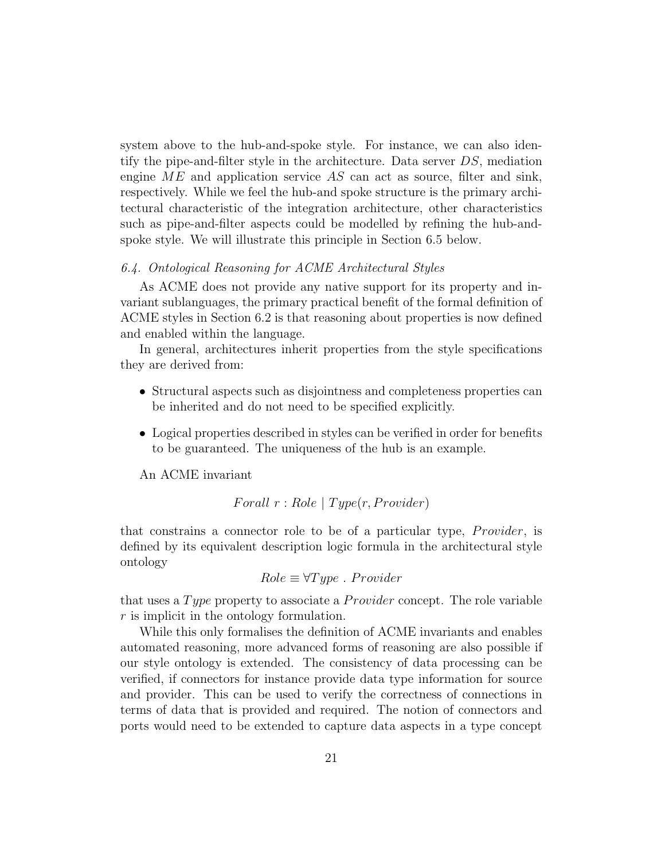system above to the hub-and-spoke style. For instance, we can also identify the pipe-and-filter style in the architecture. Data server DS, mediation engine  $ME$  and application service AS can act as source, filter and sink, respectively. While we feel the hub-and spoke structure is the primary architectural characteristic of the integration architecture, other characteristics such as pipe-and-filter aspects could be modelled by refining the hub-andspoke style. We will illustrate this principle in Section 6.5 below.

## 6.4. Ontological Reasoning for ACME Architectural Styles

As ACME does not provide any native support for its property and invariant sublanguages, the primary practical benefit of the formal definition of ACME styles in Section 6.2 is that reasoning about properties is now defined and enabled within the language.

In general, architectures inherit properties from the style specifications they are derived from:

- Structural aspects such as disjointness and completeness properties can be inherited and do not need to be specified explicitly.
- Logical properties described in styles can be verified in order for benefits to be guaranteed. The uniqueness of the hub is an example.

An ACME invariant

$$
For all r: Role \mid Type(r, Provider)
$$

that constrains a connector role to be of a particular type, *Provider*, is defined by its equivalent description logic formula in the architectural style ontology

$$
Role \equiv \forall Type \ . \ Provider
$$

that uses a Type property to associate a *Provider* concept. The role variable r is implicit in the ontology formulation.

While this only formalises the definition of ACME invariants and enables automated reasoning, more advanced forms of reasoning are also possible if our style ontology is extended. The consistency of data processing can be verified, if connectors for instance provide data type information for source and provider. This can be used to verify the correctness of connections in terms of data that is provided and required. The notion of connectors and ports would need to be extended to capture data aspects in a type concept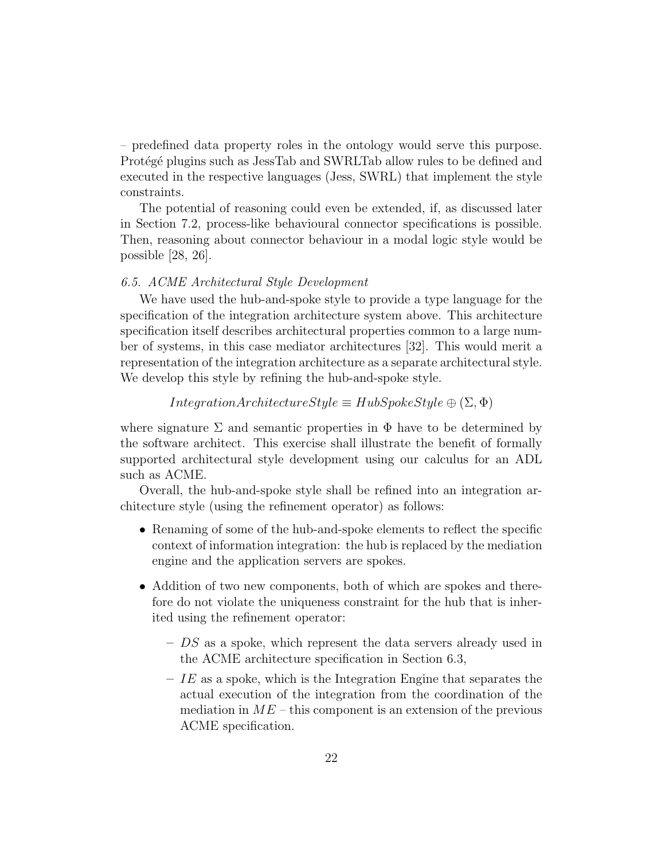– predefined data property roles in the ontology would serve this purpose. Protégé plugins such as JessTab and SWRLTab allow rules to be defined and executed in the respective languages (Jess, SWRL) that implement the style constraints.

The potential of reasoning could even be extended, if, as discussed later in Section 7.2, process-like behavioural connector specifications is possible. Then, reasoning about connector behaviour in a modal logic style would be possible [28, 26].

## 6.5. ACME Architectural Style Development

We have used the hub-and-spoke style to provide a type language for the specification of the integration architecture system above. This architecture specification itself describes architectural properties common to a large number of systems, in this case mediator architectures [32]. This would merit a representation of the integration architecture as a separate architectural style. We develop this style by refining the hub-and-spoke style.

IntegrationArchitectureStyle ≡ HubSpokeStyle ⊕ (Σ, Φ)

where signature  $\Sigma$  and semantic properties in  $\Phi$  have to be determined by the software architect. This exercise shall illustrate the benefit of formally supported architectural style development using our calculus for an ADL such as ACME.

Overall, the hub-and-spoke style shall be refined into an integration architecture style (using the refinement operator) as follows:

- Renaming of some of the hub-and-spoke elements to reflect the specific context of information integration: the hub is replaced by the mediation engine and the application servers are spokes.
- Addition of two new components, both of which are spokes and therefore do not violate the uniqueness constraint for the hub that is inherited using the refinement operator:
	- DS as a spoke, which represent the data servers already used in the ACME architecture specification in Section 6.3,
	- $-IE$  as a spoke, which is the Integration Engine that separates the actual execution of the integration from the coordination of the mediation in  $ME$  – this component is an extension of the previous ACME specification.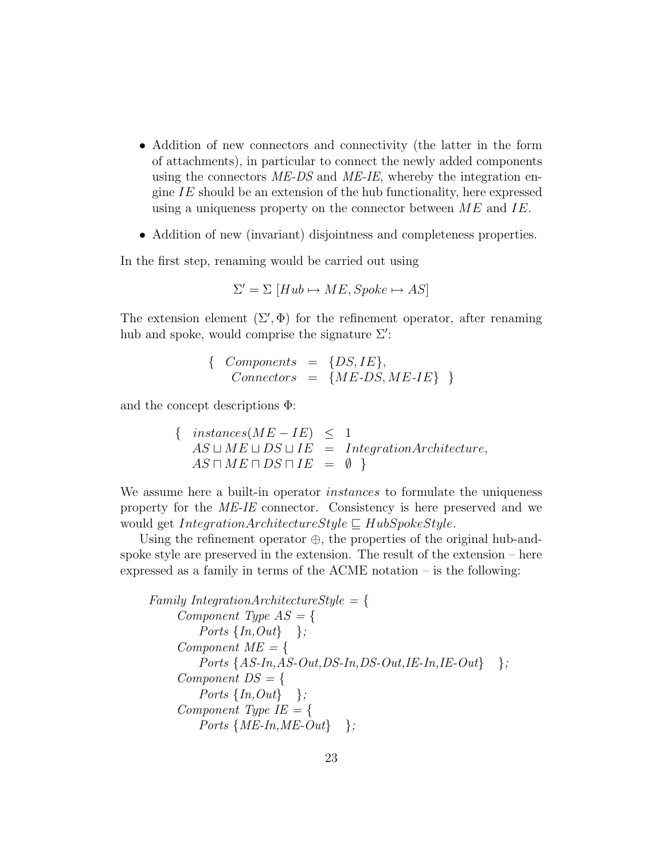- Addition of new connectors and connectivity (the latter in the form of attachments), in particular to connect the newly added components using the connectors  $ME\text{-}DS$  and  $ME\text{-}IE$ , whereby the integration engine  $IE$  should be an extension of the hub functionality, here expressed using a uniqueness property on the connector between  $ME$  and  $IE$ .
- Addition of new (invariant) disjointness and completeness properties.

In the first step, renaming would be carried out using

$$
\Sigma' = \Sigma \left[ Hub \mapsto ME, Spoke \mapsto AS \right]
$$

The extension element  $(\Sigma', \Phi)$  for the refinement operator, after renaming hub and spoke, would comprise the signature  $\Sigma'$ :

$$
\{ \text{ Components} = \{DS, IE\}, \\ \text{Connectors} = \{ME\text{-}DS, ME\text{-}IE\} \}
$$

and the concept descriptions Φ:

{
$$
\begin{array}{rcl}\n\{\ & intances(ME - IE) & \leq & 1 \\
AS \sqcup ME \sqcup DS \sqcup IE & = & IntegrationArchitecture, \\
AS \sqcap ME \sqcap DS \sqcap IE & = & \emptyset\n\end{array}
$$

We assume here a built-in operator *instances* to formulate the uniqueness property for the ME-IE connector. Consistency is here preserved and we would get IntegrationArchitectureStyle  $\subseteq HubSpokeStyle$ .

Using the refinement operator  $\oplus$ , the properties of the original hub-andspoke style are preserved in the extension. The result of the extension – here expressed as a family in terms of the ACME notation – is the following:

Family IntegrationArchitectureStyle = { Component Type AS = { Ports {In,Out} }; Component ME = { Ports {AS-In,AS-Out,DS-In,DS-Out,IE-In,IE-Out} }; Component DS = { Ports {In,Out} }; Component Type IE = { Ports {ME-In,ME-Out} };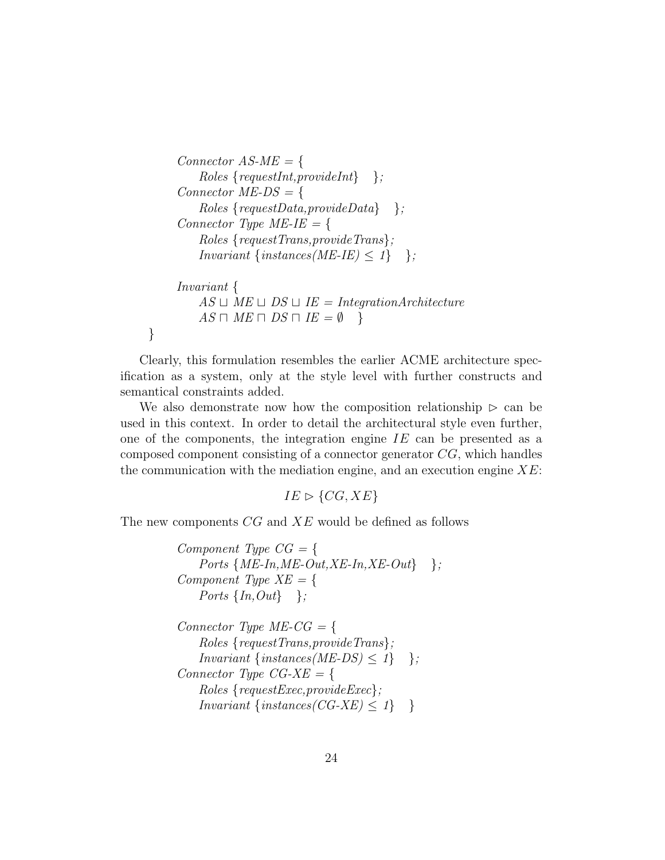```
Connector AS-ME = \{Roles \{requestInt, provideInt\};
     Connector ME-DS = \{Roles \{requestData, provideData\} \Connector Type ME-IE = {
         Roles {request Trans, provide Trans};
         Invariant \{instances(ME-IE) \leq 1\};
     Invariant {
         AS \sqcup ME \sqcup DS \sqcup IE = IntegrationArchitectureAS \sqcap ME \sqcap DS \sqcap IE = \emptyset }
}
```
Clearly, this formulation resembles the earlier ACME architecture specification as a system, only at the style level with further constructs and semantical constraints added.

We also demonstrate now how the composition relationship  $\triangleright$  can be used in this context. In order to detail the architectural style even further, one of the components, the integration engine  $IE$  can be presented as a composed component consisting of a connector generator CG, which handles the communication with the mediation engine, and an execution engine  $XE$ :

```
IE \triangleright \{CG,XE\}
```
The new components CG and XE would be defined as follows

```
Component Type CG = \{Ports \{ME\text{-}In, ME\text{-}Out,XE\text{-}In,XE\text{-}Out\};
Component Type XE = \{Ports \{In, Out\} };
```

```
Connector Type ME\text{-}CG = \{Roles {requestTrans,provideTrans};
   Invariant \{instances(ME-DS) \leq 1\};
Connector Type CG-XE = {
   Roles {requestExec,provideExec};
   Invariant \{instances(CG-XE) \leq 1\}
```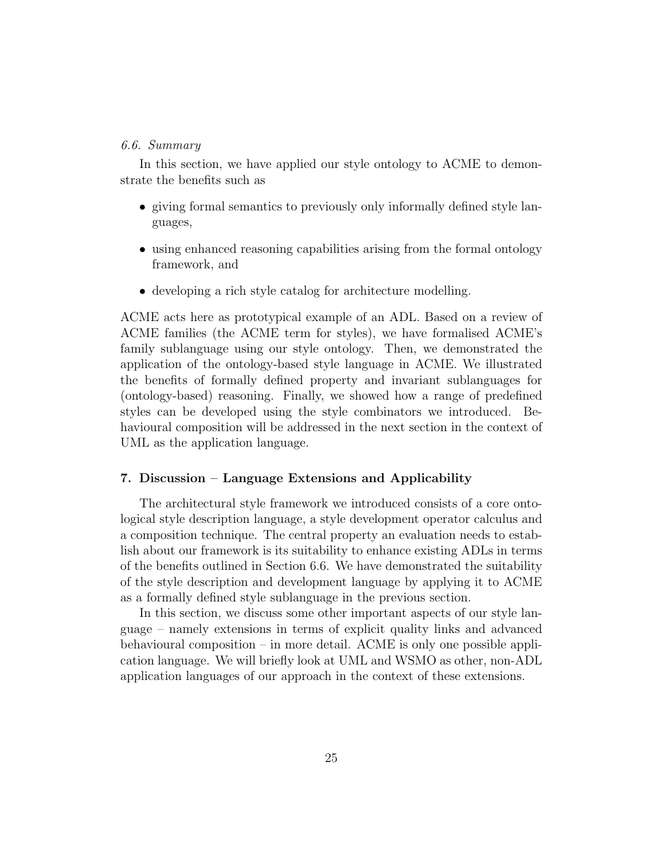#### 6.6. Summary

In this section, we have applied our style ontology to ACME to demonstrate the benefits such as

- giving formal semantics to previously only informally defined style languages,
- using enhanced reasoning capabilities arising from the formal ontology framework, and
- developing a rich style catalog for architecture modelling.

ACME acts here as prototypical example of an ADL. Based on a review of ACME families (the ACME term for styles), we have formalised ACME's family sublanguage using our style ontology. Then, we demonstrated the application of the ontology-based style language in ACME. We illustrated the benefits of formally defined property and invariant sublanguages for (ontology-based) reasoning. Finally, we showed how a range of predefined styles can be developed using the style combinators we introduced. Behavioural composition will be addressed in the next section in the context of UML as the application language.

#### 7. Discussion – Language Extensions and Applicability

The architectural style framework we introduced consists of a core ontological style description language, a style development operator calculus and a composition technique. The central property an evaluation needs to establish about our framework is its suitability to enhance existing ADLs in terms of the benefits outlined in Section 6.6. We have demonstrated the suitability of the style description and development language by applying it to ACME as a formally defined style sublanguage in the previous section.

In this section, we discuss some other important aspects of our style language – namely extensions in terms of explicit quality links and advanced behavioural composition – in more detail. ACME is only one possible application language. We will briefly look at UML and WSMO as other, non-ADL application languages of our approach in the context of these extensions.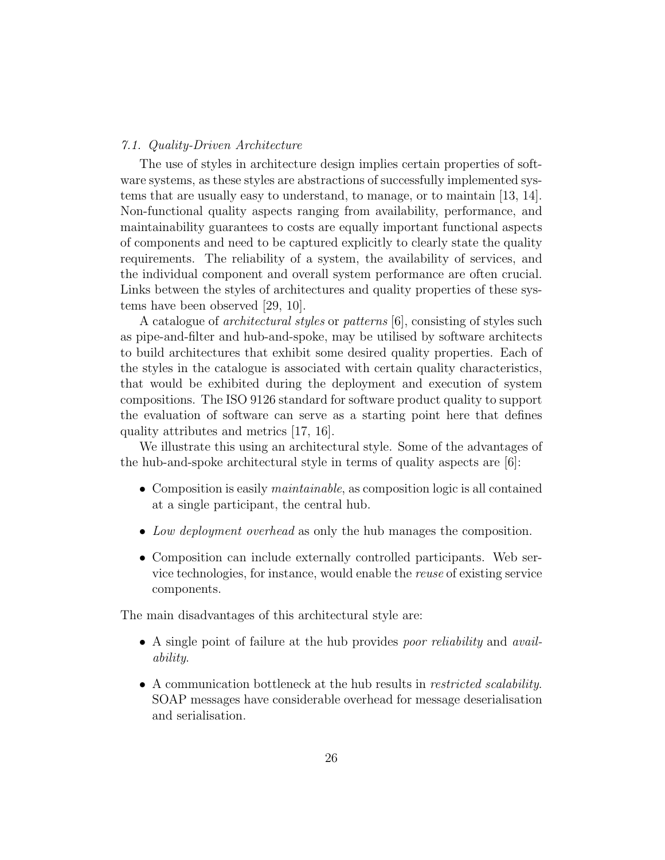## 7.1. Quality-Driven Architecture

The use of styles in architecture design implies certain properties of software systems, as these styles are abstractions of successfully implemented systems that are usually easy to understand, to manage, or to maintain [13, 14]. Non-functional quality aspects ranging from availability, performance, and maintainability guarantees to costs are equally important functional aspects of components and need to be captured explicitly to clearly state the quality requirements. The reliability of a system, the availability of services, and the individual component and overall system performance are often crucial. Links between the styles of architectures and quality properties of these systems have been observed [29, 10].

A catalogue of architectural styles or patterns [6], consisting of styles such as pipe-and-filter and hub-and-spoke, may be utilised by software architects to build architectures that exhibit some desired quality properties. Each of the styles in the catalogue is associated with certain quality characteristics, that would be exhibited during the deployment and execution of system compositions. The ISO 9126 standard for software product quality to support the evaluation of software can serve as a starting point here that defines quality attributes and metrics [17, 16].

We illustrate this using an architectural style. Some of the advantages of the hub-and-spoke architectural style in terms of quality aspects are [6]:

- Composition is easily *maintainable*, as composition logic is all contained at a single participant, the central hub.
- Low deployment overhead as only the hub manages the composition.
- Composition can include externally controlled participants. Web service technologies, for instance, would enable the reuse of existing service components.

The main disadvantages of this architectural style are:

- A single point of failure at the hub provides *poor reliability* and *avail*ability.
- A communication bottleneck at the hub results in *restricted scalability*. SOAP messages have considerable overhead for message deserialisation and serialisation.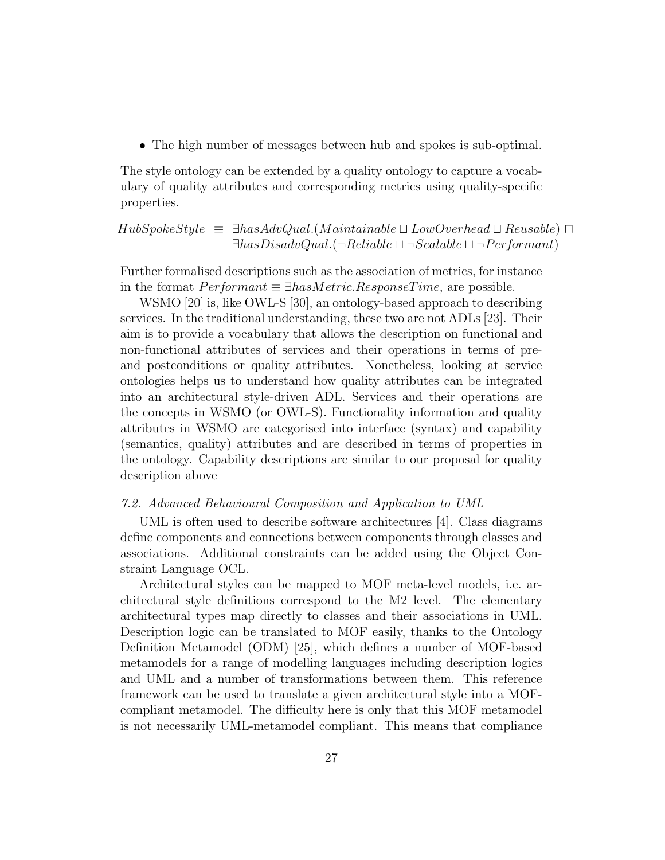• The high number of messages between hub and spokes is sub-optimal.

The style ontology can be extended by a quality ontology to capture a vocabulary of quality attributes and corresponding metrics using quality-specific properties.

# $HubSpokeStyle \equiv \exists hasAdvQual. (Maintainable \sqcup LowOverhead \sqcup Reusable) \sqcap$  $\exists hasDisadvQual.(\neg Reliable \sqcup \neg Scalable \sqcup \neg Performat)$

Further formalised descriptions such as the association of metrics, for instance in the format  $Performat \equiv \exists hasMetric. ResponseTime$ , are possible.

WSMO [20] is, like OWL-S [30], an ontology-based approach to describing services. In the traditional understanding, these two are not ADLs [23]. Their aim is to provide a vocabulary that allows the description on functional and non-functional attributes of services and their operations in terms of preand postconditions or quality attributes. Nonetheless, looking at service ontologies helps us to understand how quality attributes can be integrated into an architectural style-driven ADL. Services and their operations are the concepts in WSMO (or OWL-S). Functionality information and quality attributes in WSMO are categorised into interface (syntax) and capability (semantics, quality) attributes and are described in terms of properties in the ontology. Capability descriptions are similar to our proposal for quality description above

## 7.2. Advanced Behavioural Composition and Application to UML

UML is often used to describe software architectures [4]. Class diagrams define components and connections between components through classes and associations. Additional constraints can be added using the Object Constraint Language OCL.

Architectural styles can be mapped to MOF meta-level models, i.e. architectural style definitions correspond to the M2 level. The elementary architectural types map directly to classes and their associations in UML. Description logic can be translated to MOF easily, thanks to the Ontology Definition Metamodel (ODM) [25], which defines a number of MOF-based metamodels for a range of modelling languages including description logics and UML and a number of transformations between them. This reference framework can be used to translate a given architectural style into a MOFcompliant metamodel. The difficulty here is only that this MOF metamodel is not necessarily UML-metamodel compliant. This means that compliance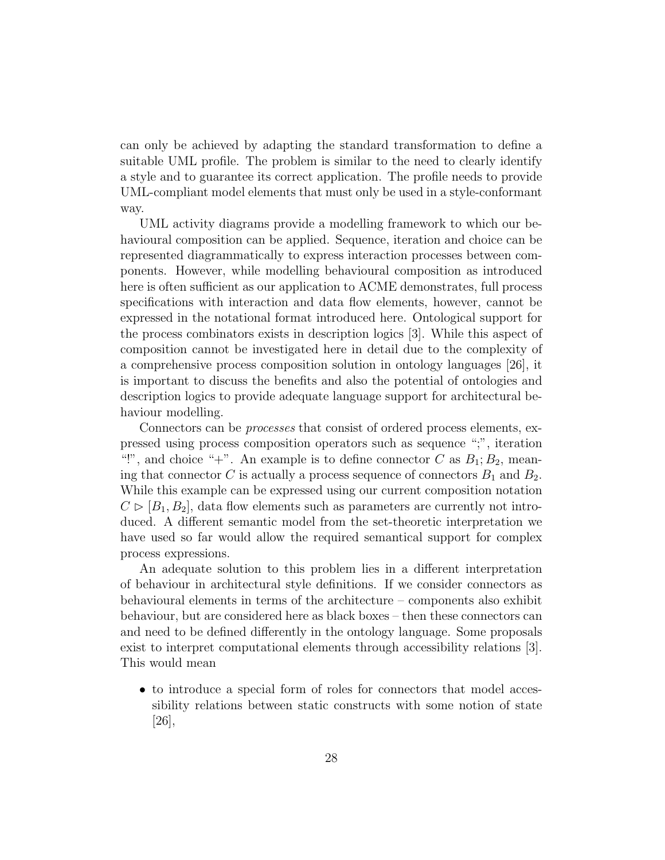can only be achieved by adapting the standard transformation to define a suitable UML profile. The problem is similar to the need to clearly identify a style and to guarantee its correct application. The profile needs to provide UML-compliant model elements that must only be used in a style-conformant way.

UML activity diagrams provide a modelling framework to which our behavioural composition can be applied. Sequence, iteration and choice can be represented diagrammatically to express interaction processes between components. However, while modelling behavioural composition as introduced here is often sufficient as our application to ACME demonstrates, full process specifications with interaction and data flow elements, however, cannot be expressed in the notational format introduced here. Ontological support for the process combinators exists in description logics [3]. While this aspect of composition cannot be investigated here in detail due to the complexity of a comprehensive process composition solution in ontology languages [26], it is important to discuss the benefits and also the potential of ontologies and description logics to provide adequate language support for architectural behaviour modelling.

Connectors can be processes that consist of ordered process elements, expressed using process composition operators such as sequence ";", iteration "!", and choice "+". An example is to define connector C as  $B_1; B_2$ , meaning that connector C is actually a process sequence of connectors  $B_1$  and  $B_2$ . While this example can be expressed using our current composition notation  $C \triangleright [B_1, B_2]$ , data flow elements such as parameters are currently not introduced. A different semantic model from the set-theoretic interpretation we have used so far would allow the required semantical support for complex process expressions.

An adequate solution to this problem lies in a different interpretation of behaviour in architectural style definitions. If we consider connectors as behavioural elements in terms of the architecture – components also exhibit behaviour, but are considered here as black boxes – then these connectors can and need to be defined differently in the ontology language. Some proposals exist to interpret computational elements through accessibility relations [3]. This would mean

• to introduce a special form of roles for connectors that model accessibility relations between static constructs with some notion of state [26],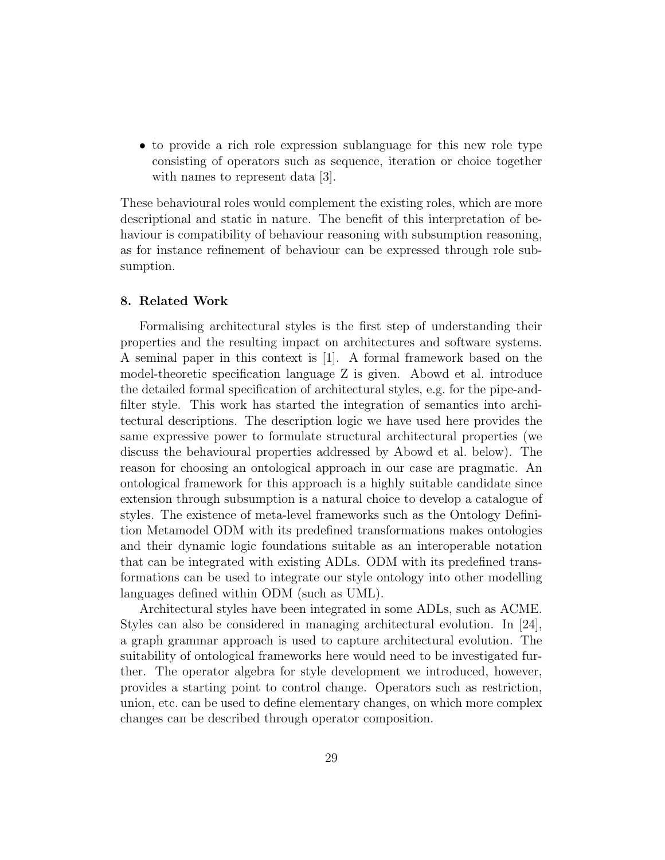• to provide a rich role expression sublanguage for this new role type consisting of operators such as sequence, iteration or choice together with names to represent data [3].

These behavioural roles would complement the existing roles, which are more descriptional and static in nature. The benefit of this interpretation of behaviour is compatibility of behaviour reasoning with subsumption reasoning, as for instance refinement of behaviour can be expressed through role subsumption.

#### 8. Related Work

Formalising architectural styles is the first step of understanding their properties and the resulting impact on architectures and software systems. A seminal paper in this context is [1]. A formal framework based on the model-theoretic specification language Z is given. Abowd et al. introduce the detailed formal specification of architectural styles, e.g. for the pipe-andfilter style. This work has started the integration of semantics into architectural descriptions. The description logic we have used here provides the same expressive power to formulate structural architectural properties (we discuss the behavioural properties addressed by Abowd et al. below). The reason for choosing an ontological approach in our case are pragmatic. An ontological framework for this approach is a highly suitable candidate since extension through subsumption is a natural choice to develop a catalogue of styles. The existence of meta-level frameworks such as the Ontology Definition Metamodel ODM with its predefined transformations makes ontologies and their dynamic logic foundations suitable as an interoperable notation that can be integrated with existing ADLs. ODM with its predefined transformations can be used to integrate our style ontology into other modelling languages defined within ODM (such as UML).

Architectural styles have been integrated in some ADLs, such as ACME. Styles can also be considered in managing architectural evolution. In [24], a graph grammar approach is used to capture architectural evolution. The suitability of ontological frameworks here would need to be investigated further. The operator algebra for style development we introduced, however, provides a starting point to control change. Operators such as restriction, union, etc. can be used to define elementary changes, on which more complex changes can be described through operator composition.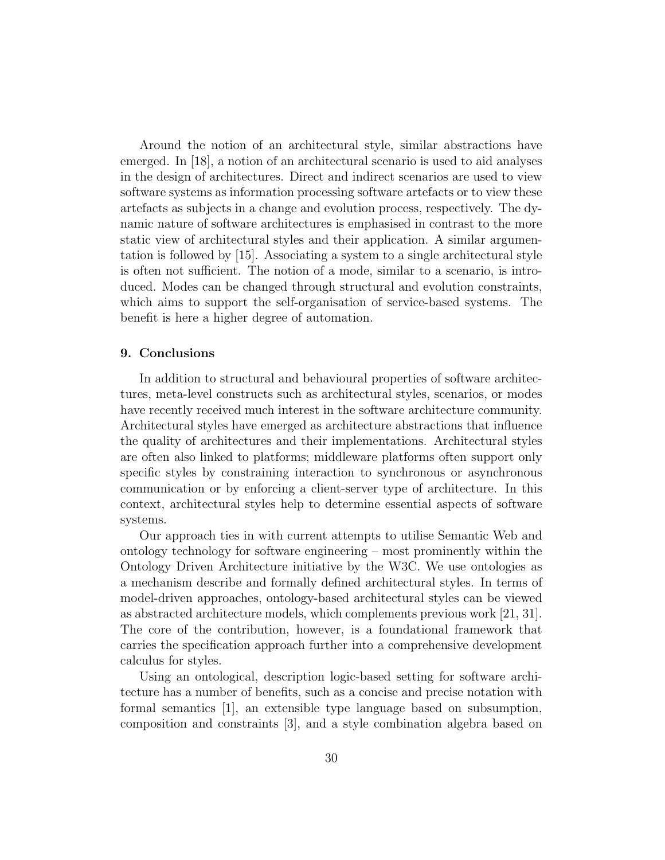Around the notion of an architectural style, similar abstractions have emerged. In [18], a notion of an architectural scenario is used to aid analyses in the design of architectures. Direct and indirect scenarios are used to view software systems as information processing software artefacts or to view these artefacts as subjects in a change and evolution process, respectively. The dynamic nature of software architectures is emphasised in contrast to the more static view of architectural styles and their application. A similar argumentation is followed by [15]. Associating a system to a single architectural style is often not sufficient. The notion of a mode, similar to a scenario, is introduced. Modes can be changed through structural and evolution constraints, which aims to support the self-organisation of service-based systems. The benefit is here a higher degree of automation.

## 9. Conclusions

In addition to structural and behavioural properties of software architectures, meta-level constructs such as architectural styles, scenarios, or modes have recently received much interest in the software architecture community. Architectural styles have emerged as architecture abstractions that influence the quality of architectures and their implementations. Architectural styles are often also linked to platforms; middleware platforms often support only specific styles by constraining interaction to synchronous or asynchronous communication or by enforcing a client-server type of architecture. In this context, architectural styles help to determine essential aspects of software systems.

Our approach ties in with current attempts to utilise Semantic Web and ontology technology for software engineering – most prominently within the Ontology Driven Architecture initiative by the W3C. We use ontologies as a mechanism describe and formally defined architectural styles. In terms of model-driven approaches, ontology-based architectural styles can be viewed as abstracted architecture models, which complements previous work [21, 31]. The core of the contribution, however, is a foundational framework that carries the specification approach further into a comprehensive development calculus for styles.

Using an ontological, description logic-based setting for software architecture has a number of benefits, such as a concise and precise notation with formal semantics [1], an extensible type language based on subsumption, composition and constraints [3], and a style combination algebra based on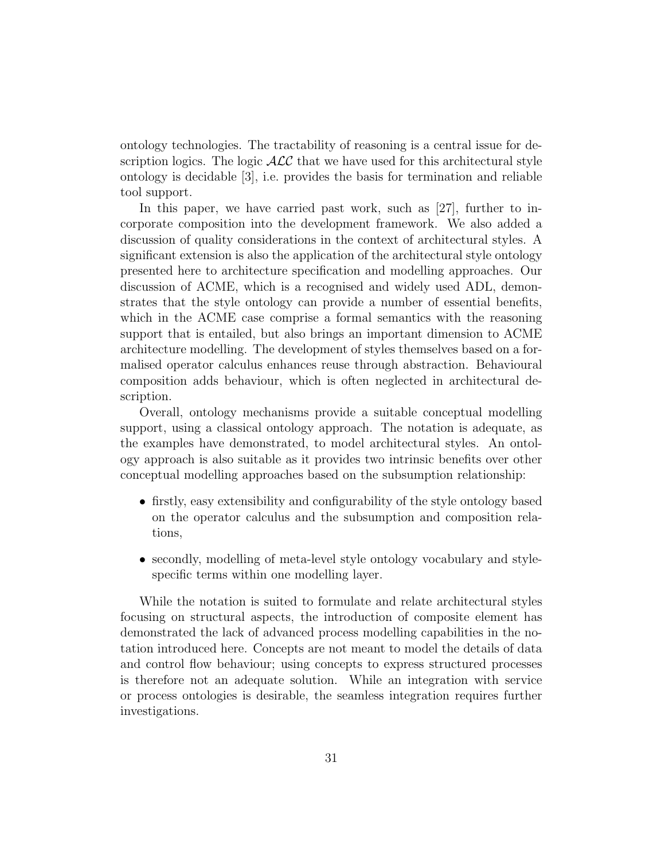ontology technologies. The tractability of reasoning is a central issue for description logics. The logic  $\mathcal{ALC}$  that we have used for this architectural style ontology is decidable [3], i.e. provides the basis for termination and reliable tool support.

In this paper, we have carried past work, such as [27], further to incorporate composition into the development framework. We also added a discussion of quality considerations in the context of architectural styles. A significant extension is also the application of the architectural style ontology presented here to architecture specification and modelling approaches. Our discussion of ACME, which is a recognised and widely used ADL, demonstrates that the style ontology can provide a number of essential benefits, which in the ACME case comprise a formal semantics with the reasoning support that is entailed, but also brings an important dimension to ACME architecture modelling. The development of styles themselves based on a formalised operator calculus enhances reuse through abstraction. Behavioural composition adds behaviour, which is often neglected in architectural description.

Overall, ontology mechanisms provide a suitable conceptual modelling support, using a classical ontology approach. The notation is adequate, as the examples have demonstrated, to model architectural styles. An ontology approach is also suitable as it provides two intrinsic benefits over other conceptual modelling approaches based on the subsumption relationship:

- firstly, easy extensibility and configurability of the style ontology based on the operator calculus and the subsumption and composition relations,
- secondly, modelling of meta-level style ontology vocabulary and stylespecific terms within one modelling layer.

While the notation is suited to formulate and relate architectural styles focusing on structural aspects, the introduction of composite element has demonstrated the lack of advanced process modelling capabilities in the notation introduced here. Concepts are not meant to model the details of data and control flow behaviour; using concepts to express structured processes is therefore not an adequate solution. While an integration with service or process ontologies is desirable, the seamless integration requires further investigations.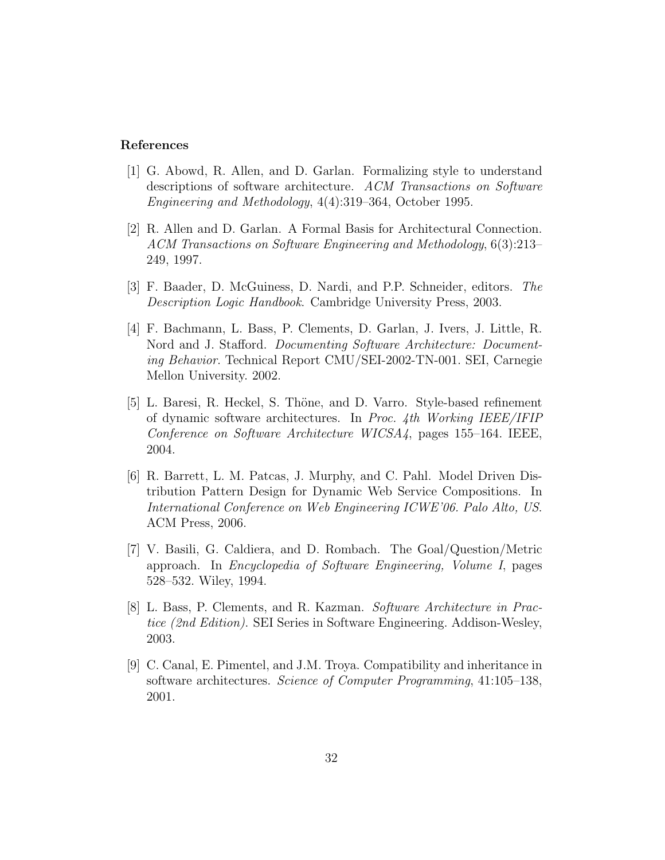### References

- [1] G. Abowd, R. Allen, and D. Garlan. Formalizing style to understand descriptions of software architecture. ACM Transactions on Software Engineering and Methodology, 4(4):319–364, October 1995.
- [2] R. Allen and D. Garlan. A Formal Basis for Architectural Connection. ACM Transactions on Software Engineering and Methodology, 6(3):213– 249, 1997.
- [3] F. Baader, D. McGuiness, D. Nardi, and P.P. Schneider, editors. The Description Logic Handbook. Cambridge University Press, 2003.
- [4] F. Bachmann, L. Bass, P. Clements, D. Garlan, J. Ivers, J. Little, R. Nord and J. Stafford. Documenting Software Architecture: Documenting Behavior. Technical Report CMU/SEI-2002-TN-001. SEI, Carnegie Mellon University. 2002.
- [5] L. Baresi, R. Heckel, S. Thöne, and D. Varro. Style-based refinement of dynamic software architectures. In Proc. 4th Working IEEE/IFIP Conference on Software Architecture WICSA4, pages 155–164. IEEE, 2004.
- [6] R. Barrett, L. M. Patcas, J. Murphy, and C. Pahl. Model Driven Distribution Pattern Design for Dynamic Web Service Compositions. In International Conference on Web Engineering ICWE'06. Palo Alto, US. ACM Press, 2006.
- [7] V. Basili, G. Caldiera, and D. Rombach. The Goal/Question/Metric approach. In Encyclopedia of Software Engineering, Volume I, pages 528–532. Wiley, 1994.
- [8] L. Bass, P. Clements, and R. Kazman. Software Architecture in Practice (2nd Edition). SEI Series in Software Engineering. Addison-Wesley, 2003.
- [9] C. Canal, E. Pimentel, and J.M. Troya. Compatibility and inheritance in software architectures. Science of Computer Programming, 41:105–138, 2001.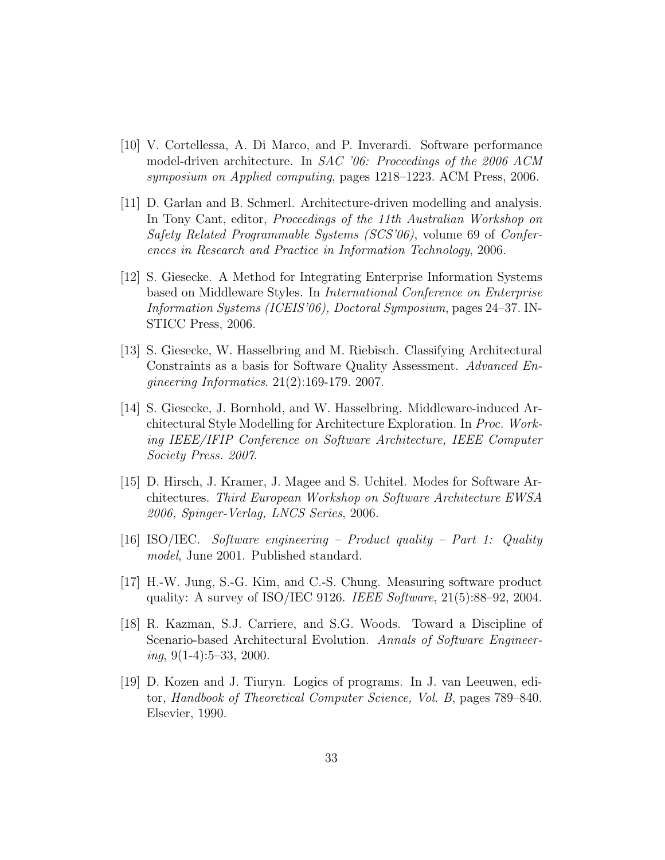- [10] V. Cortellessa, A. Di Marco, and P. Inverardi. Software performance model-driven architecture. In SAC '06: Proceedings of the 2006 ACM symposium on Applied computing, pages 1218–1223. ACM Press, 2006.
- [11] D. Garlan and B. Schmerl. Architecture-driven modelling and analysis. In Tony Cant, editor, Proceedings of the 11th Australian Workshop on Safety Related Programmable Systems (SCS'06), volume 69 of Conferences in Research and Practice in Information Technology, 2006.
- [12] S. Giesecke. A Method for Integrating Enterprise Information Systems based on Middleware Styles. In International Conference on Enterprise Information Systems (ICEIS'06), Doctoral Symposium, pages 24–37. IN-STICC Press, 2006.
- [13] S. Giesecke, W. Hasselbring and M. Riebisch. Classifying Architectural Constraints as a basis for Software Quality Assessment. Advanced Engineering Informatics. 21(2):169-179. 2007.
- [14] S. Giesecke, J. Bornhold, and W. Hasselbring. Middleware-induced Architectural Style Modelling for Architecture Exploration. In Proc. Working IEEE/IFIP Conference on Software Architecture, IEEE Computer Society Press. 2007.
- [15] D. Hirsch, J. Kramer, J. Magee and S. Uchitel. Modes for Software Architectures. Third European Workshop on Software Architecture EWSA 2006, Spinger-Verlag, LNCS Series, 2006.
- [16] ISO/IEC. Software engineering Product quality Part 1: Quality model, June 2001. Published standard.
- [17] H.-W. Jung, S.-G. Kim, and C.-S. Chung. Measuring software product quality: A survey of ISO/IEC 9126. IEEE Software,  $21(5):88-92$ ,  $2004$ .
- [18] R. Kazman, S.J. Carriere, and S.G. Woods. Toward a Discipline of Scenario-based Architectural Evolution. Annals of Software Engineer $ing, 9(1-4):5-33, 2000.$
- [19] D. Kozen and J. Tiuryn. Logics of programs. In J. van Leeuwen, editor, Handbook of Theoretical Computer Science, Vol. B, pages 789–840. Elsevier, 1990.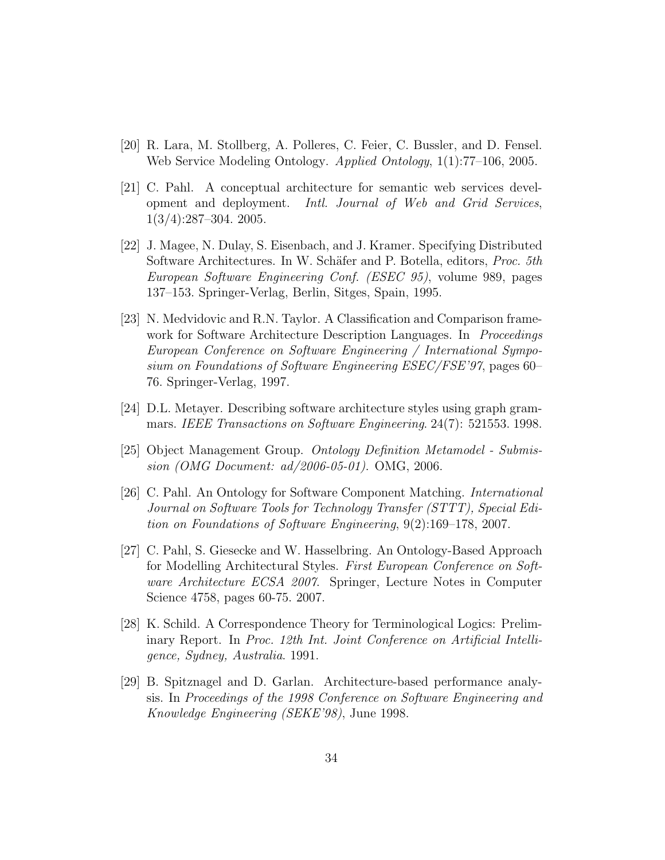- [20] R. Lara, M. Stollberg, A. Polleres, C. Feier, C. Bussler, and D. Fensel. Web Service Modeling Ontology. Applied Ontology, 1(1):77–106, 2005.
- [21] C. Pahl. A conceptual architecture for semantic web services development and deployment. Intl. Journal of Web and Grid Services, 1(3/4):287–304. 2005.
- [22] J. Magee, N. Dulay, S. Eisenbach, and J. Kramer. Specifying Distributed Software Architectures. In W. Schäfer and P. Botella, editors, Proc. 5th European Software Engineering Conf. (ESEC 95), volume 989, pages 137–153. Springer-Verlag, Berlin, Sitges, Spain, 1995.
- [23] N. Medvidovic and R.N. Taylor. A Classification and Comparison framework for Software Architecture Description Languages. In Proceedings European Conference on Software Engineering / International Symposium on Foundations of Software Engineering ESEC/FSE'97, pages 60– 76. Springer-Verlag, 1997.
- [24] D.L. Metayer. Describing software architecture styles using graph grammars. IEEE Transactions on Software Engineering. 24(7): 521553. 1998.
- [25] Object Management Group. Ontology Definition Metamodel Submission (OMG Document: ad/2006-05-01). OMG, 2006.
- [26] C. Pahl. An Ontology for Software Component Matching. International Journal on Software Tools for Technology Transfer (STTT), Special Edition on Foundations of Software Engineering, 9(2):169–178, 2007.
- [27] C. Pahl, S. Giesecke and W. Hasselbring. An Ontology-Based Approach for Modelling Architectural Styles. First European Conference on Software Architecture ECSA 2007. Springer, Lecture Notes in Computer Science 4758, pages 60-75. 2007.
- [28] K. Schild. A Correspondence Theory for Terminological Logics: Preliminary Report. In Proc. 12th Int. Joint Conference on Artificial Intelligence, Sydney, Australia. 1991.
- [29] B. Spitznagel and D. Garlan. Architecture-based performance analysis. In Proceedings of the 1998 Conference on Software Engineering and Knowledge Engineering (SEKE'98), June 1998.